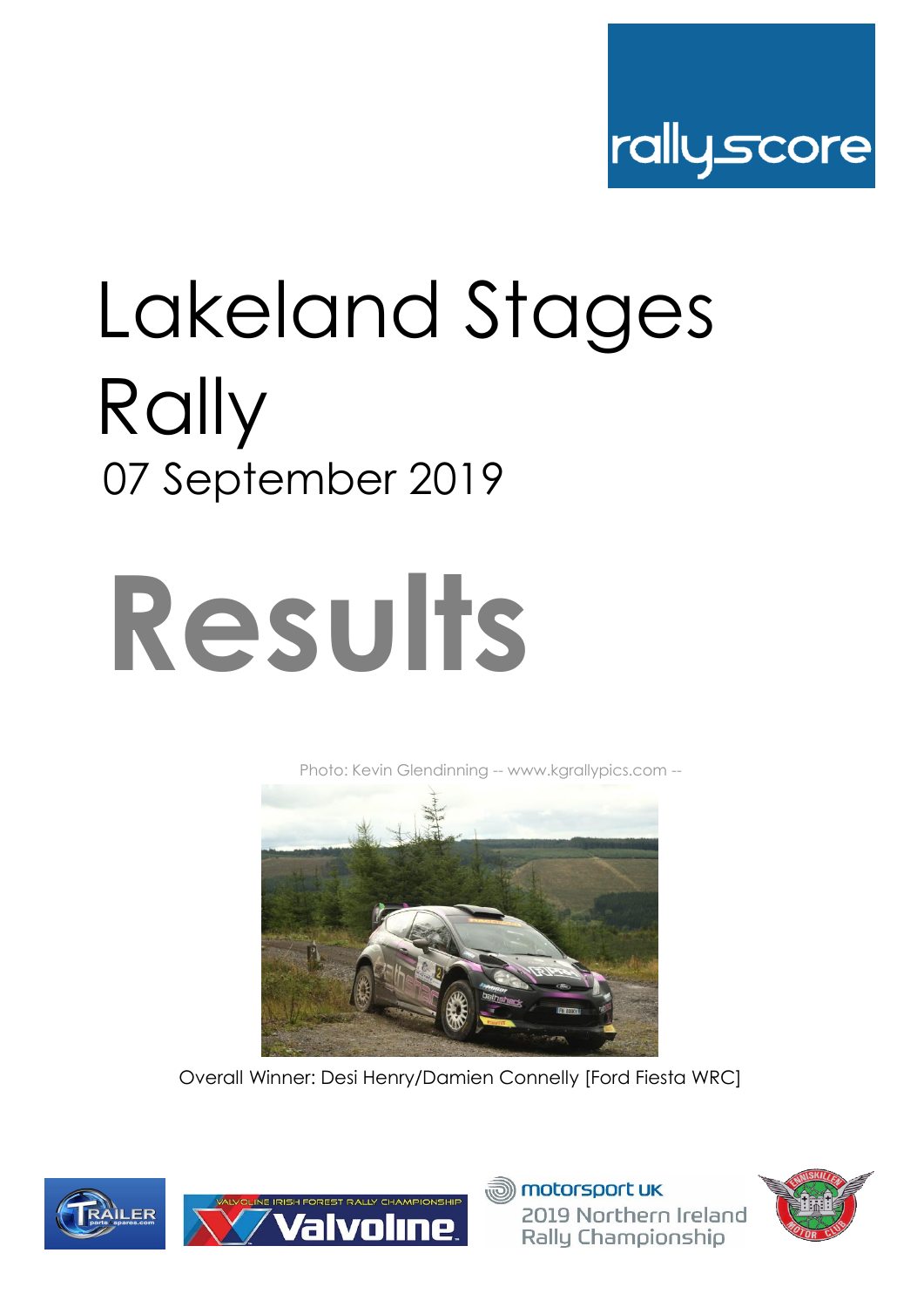

## Lakeland Stages Rally 07 September 2019

# **Results**

[Phot](http://www.kgrallypics.com/)o: Kevin Glendinning -- www.kgrallypics.com --



Overall Winner: Desi Henry/Damien Connelly [Ford Fiesta WRC]







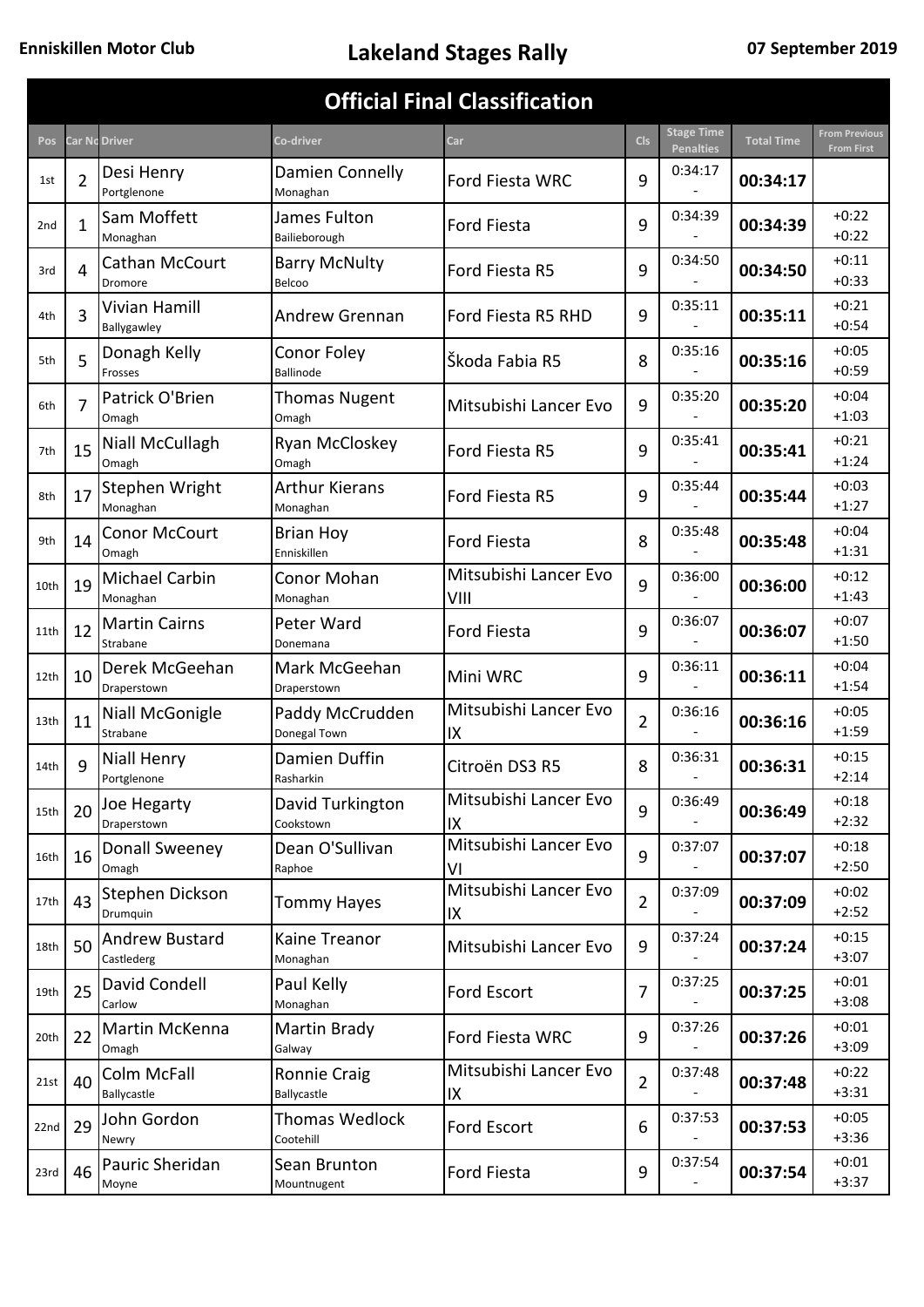| <b>Official Final Classification</b> |                |                                     |                                    |                               |                |                                       |                   |                                           |  |  |  |
|--------------------------------------|----------------|-------------------------------------|------------------------------------|-------------------------------|----------------|---------------------------------------|-------------------|-------------------------------------------|--|--|--|
| Pos                                  |                | <b>Car Nc Driver</b>                | Co-driver                          | Car                           | <b>Cls</b>     | <b>Stage Time</b><br><b>Penalties</b> | <b>Total Time</b> | <b>From Previous</b><br><b>From First</b> |  |  |  |
| 1st                                  | $\overline{2}$ | Desi Henry<br>Portglenone           | Damien Connelly<br>Monaghan        | Ford Fiesta WRC               | 9              | 0:34:17                               | 00:34:17          |                                           |  |  |  |
| 2 <sub>nd</sub>                      | 1              | Sam Moffett<br>Monaghan             | James Fulton<br>Bailieborough      | <b>Ford Fiesta</b>            | 9              | 0:34:39                               | 00:34:39          | $+0:22$<br>$+0:22$                        |  |  |  |
| 3rd                                  | 4              | Cathan McCourt<br>Dromore           | <b>Barry McNulty</b><br>Belcoo     | Ford Fiesta R5                | 9              | 0:34:50                               | 00:34:50          | $+0:11$<br>$+0:33$                        |  |  |  |
| 4th                                  | 3              | Vivian Hamill<br>Ballygawley        | Andrew Grennan                     | Ford Fiesta R5 RHD            | 9              | 0:35:11                               | 00:35:11          | $+0:21$<br>$+0:54$                        |  |  |  |
| 5th                                  | 5              | Donagh Kelly<br>Frosses             | Conor Foley<br><b>Ballinode</b>    | Škoda Fabia R5                | 8              | 0:35:16                               | 00:35:16          | $+0:05$<br>$+0:59$                        |  |  |  |
| 6th                                  | 7              | Patrick O'Brien<br>Omagh            | <b>Thomas Nugent</b><br>Omagh      | Mitsubishi Lancer Evo         | 9              | 0:35:20                               | 00:35:20          | $+0:04$<br>$+1:03$                        |  |  |  |
| 7th                                  | 15             | Niall McCullagh<br>Omagh            | Ryan McCloskey<br>Omagh            | Ford Fiesta R5                | 9              | 0:35:41                               | 00:35:41          | $+0:21$<br>$+1:24$                        |  |  |  |
| 8th                                  | 17             | Stephen Wright<br>Monaghan          | <b>Arthur Kierans</b><br>Monaghan  | Ford Fiesta R5                | 9              | 0:35:44                               | 00:35:44          | $+0:03$<br>$+1:27$                        |  |  |  |
| 9th                                  | 14             | <b>Conor McCourt</b><br>Omagh       | <b>Brian Hoy</b><br>Enniskillen    | <b>Ford Fiesta</b>            | 8              | 0:35:48                               | 00:35:48          | $+0:04$<br>$+1:31$                        |  |  |  |
| 10th                                 | 19             | Michael Carbin<br>Monaghan          | Conor Mohan<br>Monaghan            | Mitsubishi Lancer Evo<br>VIII | 9              | 0:36:00                               | 00:36:00          | $+0:12$<br>$+1:43$                        |  |  |  |
| 11th                                 | 12             | <b>Martin Cairns</b><br>Strabane    | Peter Ward<br>Donemana             | <b>Ford Fiesta</b>            | 9              | 0:36:07                               | 00:36:07          | $+0:07$<br>$+1:50$                        |  |  |  |
| 12th                                 | 10             | Derek McGeehan<br>Draperstown       | Mark McGeehan<br>Draperstown       | Mini WRC                      | 9              | 0:36:11                               | 00:36:11          | $+0:04$<br>$+1:54$                        |  |  |  |
| 13th                                 | 11             | Niall McGonigle<br>Strabane         | Paddy McCrudden<br>Donegal Town    | Mitsubishi Lancer Evo<br>IX   | 2              | 0:36:16                               | 00:36:16          | $+0:05$<br>$+1:59$                        |  |  |  |
| 14th                                 | q              | <b>Niall Henry</b><br>Portglenone   | Damien Duffin<br>Rasharkin         | Citroën DS3 R5                | 8              | 0:36:31                               | 00:36:31          | $+0:15$<br>$+2:14$                        |  |  |  |
| 15th                                 | 20             | Joe Hegarty<br>Draperstown          | David Turkington<br>Cookstown      | Mitsubishi Lancer Evo<br>IX   | 9              | 0:36:49                               | 00:36:49          | $+0:18$<br>$+2:32$                        |  |  |  |
| 16th                                 | 16             | Donall Sweeney<br>Omagh             | Dean O'Sullivan<br>Raphoe          | Mitsubishi Lancer Evo<br>V١   | 9              | 0:37:07                               | 00:37:07          | $+0:18$<br>$+2:50$                        |  |  |  |
| 17th                                 | 43             | Stephen Dickson<br>Drumquin         | <b>Tommy Hayes</b>                 | Mitsubishi Lancer Evo<br>IX   | $\overline{2}$ | 0:37:09                               | 00:37:09          | $+0:02$<br>$+2:52$                        |  |  |  |
| 18th                                 | 50             | <b>Andrew Bustard</b><br>Castlederg | Kaine Treanor<br>Monaghan          | Mitsubishi Lancer Evo         | 9              | 0:37:24                               | 00:37:24          | $+0:15$<br>$+3:07$                        |  |  |  |
| 19th                                 | 25             | David Condell<br>Carlow             | Paul Kelly<br>Monaghan             | Ford Escort                   | 7              | 0:37:25                               | 00:37:25          | $+0:01$<br>$+3:08$                        |  |  |  |
| 20th                                 | 22             | Martin McKenna<br>Omagh             | Martin Brady<br>Galway             | Ford Fiesta WRC               | 9              | 0:37:26                               | 00:37:26          | $+0:01$<br>$+3:09$                        |  |  |  |
| 21st                                 | 40             | Colm McFall<br>Ballycastle          | Ronnie Craig<br>Ballycastle        | Mitsubishi Lancer Evo<br>IX   | $\overline{2}$ | 0:37:48                               | 00:37:48          | $+0:22$<br>$+3:31$                        |  |  |  |
| 22nd                                 | 29             | John Gordon<br>Newry                | <b>Thomas Wedlock</b><br>Cootehill | Ford Escort                   | 6              | 0:37:53                               | 00:37:53          | $+0:05$<br>$+3:36$                        |  |  |  |
| 23rd                                 | 46             | Pauric Sheridan<br>Moyne            | Sean Brunton<br>Mountnugent        | Ford Fiesta                   | 9              | 0:37:54                               | 00:37:54          | $+0:01$<br>$+3:37$                        |  |  |  |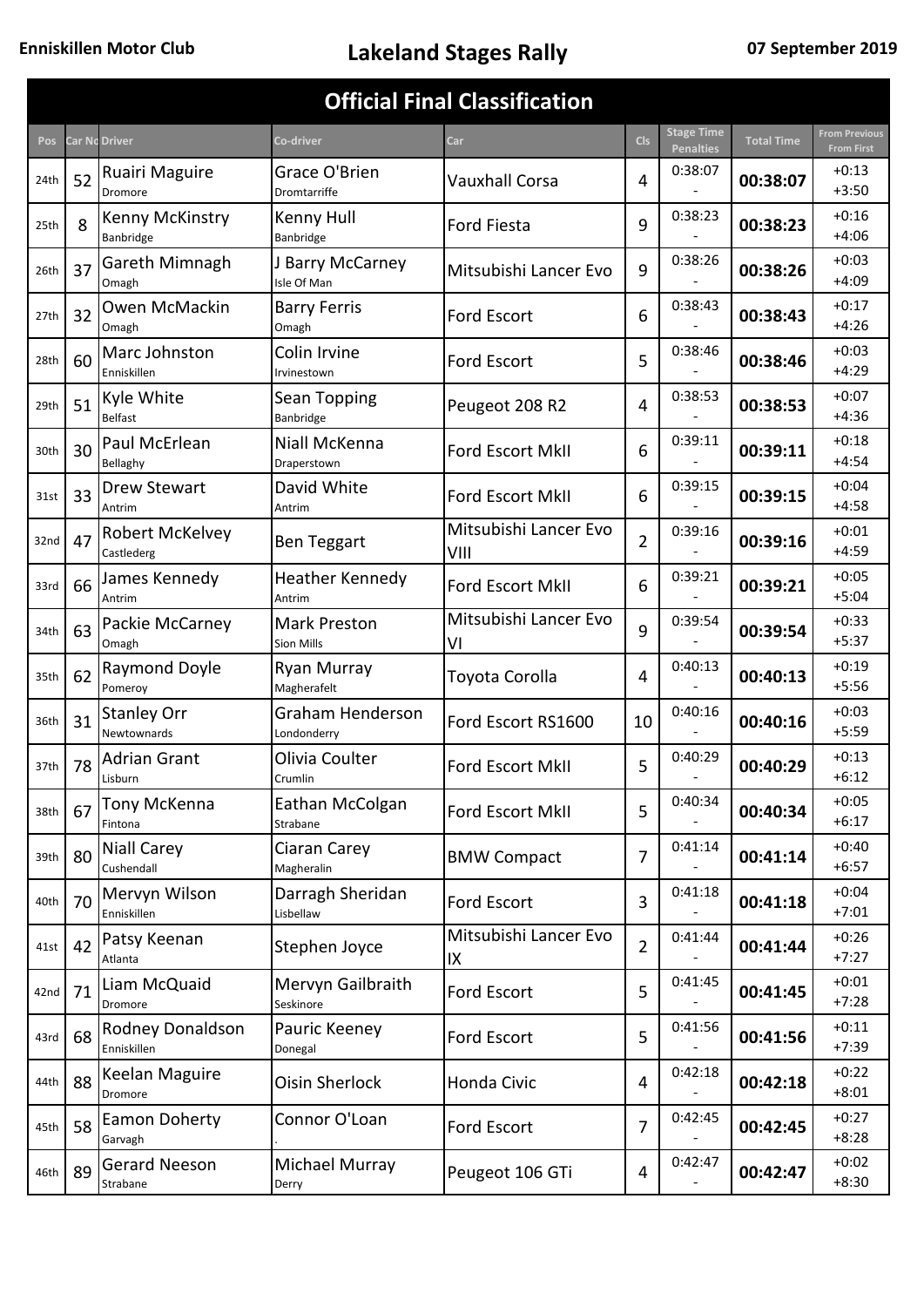|      |    |                                      |                                   | <b>Official Final Classification</b> |                |                                       |                   |                                           |
|------|----|--------------------------------------|-----------------------------------|--------------------------------------|----------------|---------------------------------------|-------------------|-------------------------------------------|
| Pos  |    | <b>Car Nc Driver</b>                 | Co-driver                         | Car                                  | <b>Cls</b>     | <b>Stage Time</b><br><b>Penalties</b> | <b>Total Time</b> | <b>From Previous</b><br><b>From First</b> |
| 24th | 52 | Ruairi Maguire<br>Dromore            | Grace O'Brien<br>Dromtarriffe     | Vauxhall Corsa                       | 4              | 0:38:07                               | 00:38:07          | $+0:13$<br>$+3:50$                        |
| 25th | 8  | Kenny McKinstry<br>Banbridge         | Kenny Hull<br>Banbridge           | <b>Ford Fiesta</b>                   | 9              | 0:38:23                               | 00:38:23          | $+0:16$<br>$+4:06$                        |
| 26th | 37 | Gareth Mimnagh<br>Omagh              | J Barry McCarney<br>Isle Of Man   | Mitsubishi Lancer Evo                | 9              | 0:38:26<br>00:38:26                   |                   | $+0:03$<br>$+4:09$                        |
| 27th | 32 | Owen McMackin<br>Omagh               | <b>Barry Ferris</b><br>Omagh      | <b>Ford Escort</b>                   | 6              | 0:38:43                               | 00:38:43          | $+0:17$<br>$+4:26$                        |
| 28th | 60 | Marc Johnston<br>Enniskillen         | Colin Irvine<br>Irvinestown       | <b>Ford Escort</b>                   | 5              | 0:38:46                               | 00:38:46          | $+0:03$<br>$+4:29$                        |
| 29th | 51 | Kyle White<br><b>Belfast</b>         | Sean Topping<br>Banbridge         | Peugeot 208 R2                       | 4              | 0:38:53                               | 00:38:53          | $+0:07$<br>$+4:36$                        |
| 30th | 30 | Paul McErlean<br>Bellaghy            | Niall McKenna<br>Draperstown      | <b>Ford Escort MkII</b>              | 6              | 0:39:11                               | 00:39:11          | $+0:18$<br>$+4:54$                        |
| 31st | 33 | <b>Drew Stewart</b><br>Antrim        | David White<br>Antrim             | <b>Ford Escort MkII</b>              | 6              | 0:39:15                               | 00:39:15          | $+0:04$<br>$+4:58$                        |
| 32nd | 47 | <b>Robert McKelvey</b><br>Castlederg | <b>Ben Teggart</b>                | Mitsubishi Lancer Evo<br>VIII        | $\overline{2}$ | 0:39:16                               | 00:39:16          | $+0:01$<br>$+4:59$                        |
| 33rd | 66 | James Kennedy<br>Antrim              | <b>Heather Kennedy</b><br>Antrim  | Ford Escort MkII                     | 6              | 0:39:21                               | 00:39:21          | $+0:05$<br>$+5:04$                        |
| 34th | 63 | Packie McCarney<br>Omagh             | <b>Mark Preston</b><br>Sion Mills | Mitsubishi Lancer Evo<br>V١          |                | 0:39:54                               | 00:39:54          | $+0:33$<br>$+5:37$                        |
| 35th | 62 | <b>Raymond Doyle</b><br>Pomeroy      | Ryan Murray<br>Magherafelt        | Toyota Corolla                       | 4              | 0:40:13                               | 00:40:13          | $+0:19$<br>$+5:56$                        |
| 36th | 31 | <b>Stanley Orr</b><br>Newtownards    | Graham Henderson<br>Londonderry   | Ford Escort RS1600                   | 10             | 0:40:16                               | 00:40:16          | $+0:03$<br>$+5:59$                        |
| 37th | 78 | Adrian Grant<br>Lisburn              | Olivia Coulter<br>Crumlin         | Ford Escort MkII                     | 5              | 0:40:29                               | 00:40:29          | $+0:13$<br>$+6:12$                        |
| 38th | 67 | Tony McKenna<br>Fintona              | Eathan McColgan<br>Strabane       | Ford Escort MkII                     | 5              | 0:40:34                               | 00:40:34          | $+0:05$<br>$+6:17$                        |
| 39th | 80 | Niall Carey<br>Cushendall            | Ciaran Carey<br>Magheralin        | <b>BMW Compact</b>                   | 7              | 0:41:14                               | 00:41:14          | $+0:40$<br>$+6:57$                        |
| 40th | 70 | Mervyn Wilson<br>Enniskillen         | Darragh Sheridan<br>Lisbellaw     | Ford Escort                          | 3              | 0:41:18                               | 00:41:18          | $+0:04$<br>$+7:01$                        |
| 41st | 42 | Patsy Keenan<br>Atlanta              | Stephen Joyce                     | Mitsubishi Lancer Evo<br>IX          | $\overline{2}$ | 0:41:44                               | 00:41:44          | $+0:26$<br>$+7:27$                        |
| 42nd | 71 | Liam McQuaid<br>Dromore              | Mervyn Gailbraith<br>Seskinore    | Ford Escort                          | 5              | 0:41:45                               | 00:41:45          | $+0:01$<br>$+7:28$                        |
| 43rd | 68 | Rodney Donaldson<br>Enniskillen      | Pauric Keeney<br>Donegal          | Ford Escort                          | 5              | 0:41:56                               | 00:41:56          | $+0:11$<br>$+7:39$                        |
| 44th | 88 | Keelan Maguire<br>Dromore            | <b>Oisin Sherlock</b>             | Honda Civic                          | 4              | 0:42:18                               | 00:42:18          | $+0:22$<br>$+8:01$                        |
| 45th | 58 | Eamon Doherty<br>Garvagh             | Connor O'Loan                     | Ford Escort                          | 7              | 0:42:45                               | 00:42:45          | $+0:27$<br>$+8:28$                        |
| 46th | 89 | <b>Gerard Neeson</b><br>Strabane     | Michael Murray<br>Derry           | Peugeot 106 GTi                      | 4              | 0:42:47                               | 00:42:47          | $+0:02$<br>$+8:30$                        |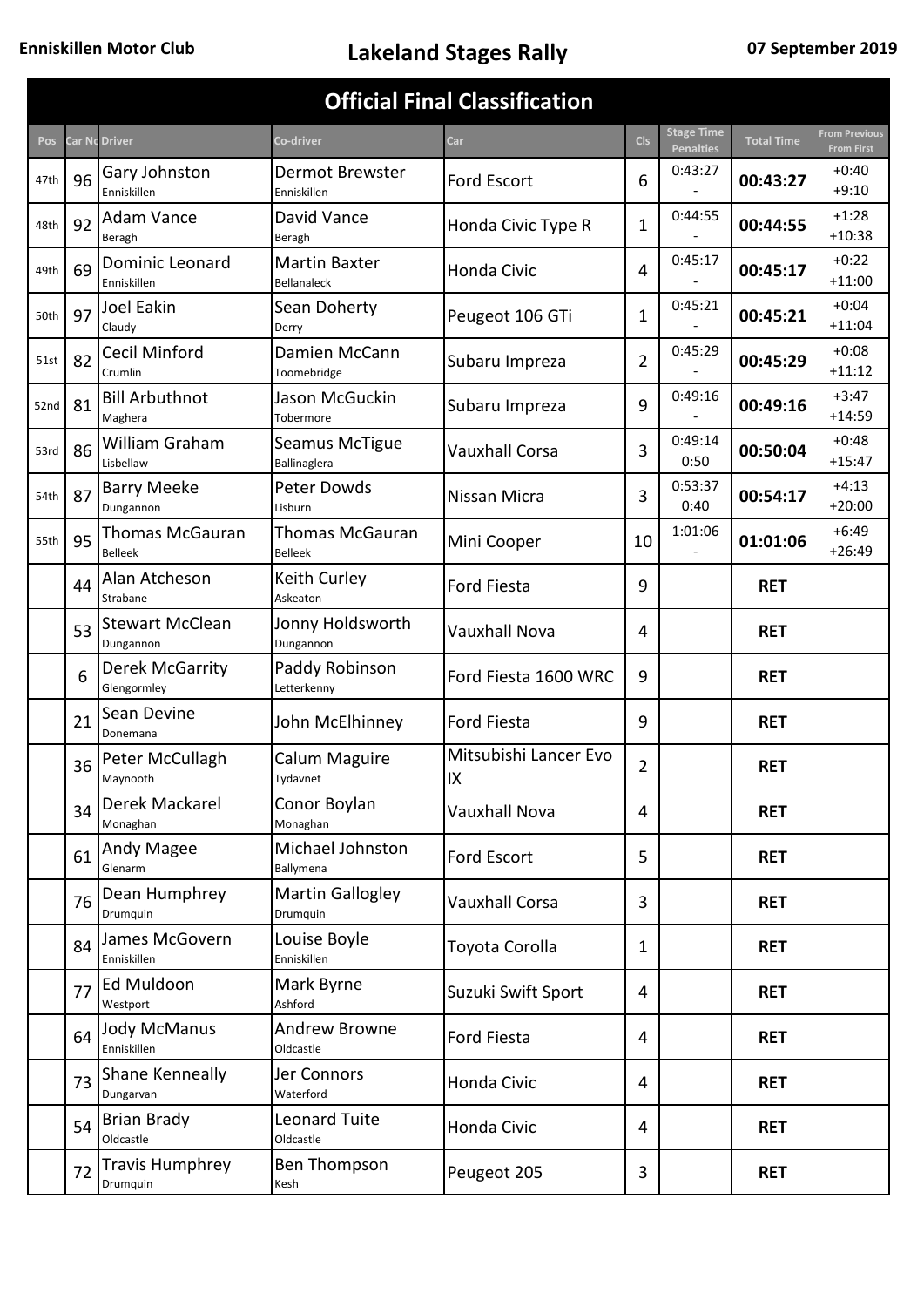|      |    |                                     |                                            | <b>Official Final Classification</b> |                |                                       |                   |                                           |
|------|----|-------------------------------------|--------------------------------------------|--------------------------------------|----------------|---------------------------------------|-------------------|-------------------------------------------|
| Pos  |    | Car Nc Driver                       | Co-driver                                  | <b>Car</b>                           | <b>Cls</b>     | <b>Stage Time</b><br><b>Penalties</b> | <b>Total Time</b> | <b>From Previous</b><br><b>From First</b> |
| 47th | 96 | Gary Johnston<br>Enniskillen        | <b>Dermot Brewster</b><br>Enniskillen      | Ford Escort                          | 6              | 0:43:27                               | 00:43:27          | $+0:40$<br>$+9:10$                        |
| 48th | 92 | <b>Adam Vance</b><br>Beragh         | David Vance<br>Beragh                      | Honda Civic Type R                   | 1              | 0:44:55                               | 00:44:55          | $+1:28$<br>$+10:38$                       |
| 49th | 69 | Dominic Leonard<br>Enniskillen      | <b>Martin Baxter</b><br><b>Bellanaleck</b> | Honda Civic                          | 4              | 0:45:17                               | 00:45:17          | $+0:22$<br>$+11:00$                       |
| 50th | 97 | Joel Eakin<br>Claudy                | Sean Doherty<br>Derry                      | Peugeot 106 GTi                      | 1              | 0:45:21                               | 00:45:21          | $+0:04$<br>$+11:04$                       |
| 51st | 82 | Cecil Minford<br>Crumlin            | Damien McCann<br>Toomebridge               | Subaru Impreza                       | $\overline{2}$ | 0:45:29                               | 00:45:29          | $+0:08$<br>$+11:12$                       |
| 52nd | 81 | <b>Bill Arbuthnot</b><br>Maghera    | Jason McGuckin<br>Tobermore                | Subaru Impreza                       | 9              | 0:49:16                               | 00:49:16          | $+3:47$<br>$+14:59$                       |
| 53rd | 86 | William Graham<br>Lisbellaw         | Seamus McTigue<br>Ballinaglera             | <b>Vauxhall Corsa</b>                | 3              | 0:49:14<br>0:50                       | 00:50:04          | $+0:48$<br>$+15:47$                       |
| 54th | 87 | <b>Barry Meeke</b><br>Dungannon     | Peter Dowds<br>Lisburn                     | Nissan Micra                         | 3              | 0:53:37<br>0:40                       | 00:54:17          | $+4:13$<br>$+20:00$                       |
| 55th | 95 | Thomas McGauran<br><b>Belleek</b>   | <b>Thomas McGauran</b><br><b>Belleek</b>   | Mini Cooper                          | 10             | 1:01:06                               | 01:01:06          | $+6:49$<br>$+26:49$                       |
|      | 44 | Alan Atcheson<br>Strabane           | Keith Curley<br>Askeaton                   | <b>Ford Fiesta</b>                   | 9              |                                       | <b>RET</b>        |                                           |
|      | 53 | <b>Stewart McClean</b><br>Dungannon | Jonny Holdsworth<br>Dungannon              | <b>Vauxhall Nova</b>                 | 4              |                                       | <b>RET</b>        |                                           |
|      | 6  | Derek McGarrity<br>Glengormley      | Paddy Robinson<br>Letterkenny              | Ford Fiesta 1600 WRC                 | 9              |                                       | <b>RET</b>        |                                           |
|      | 21 | Sean Devine<br>Donemana             | John McElhinney                            | Ford Fiesta                          | 9              |                                       | <b>RET</b>        |                                           |
|      | 36 | Peter McCullagh<br>Maynooth         | Calum Maguire<br>Tydavnet                  | Mitsubishi Lancer Evo<br>IX          | $\overline{2}$ |                                       | <b>RET</b>        |                                           |
|      | 34 | Derek Mackarel<br>Monaghan          | Conor Boylan<br>Monaghan                   | <b>Vauxhall Nova</b>                 | 4              |                                       | <b>RET</b>        |                                           |
|      | 61 | Andy Magee<br>Glenarm               | Michael Johnston<br>Ballymena              | Ford Escort                          | 5              |                                       | <b>RET</b>        |                                           |
|      | 76 | Dean Humphrey<br>Drumquin           | <b>Martin Gallogley</b><br>Drumquin        | <b>Vauxhall Corsa</b>                | 3              |                                       | <b>RET</b>        |                                           |
|      | 84 | James McGovern<br>Enniskillen       | Louise Boyle<br>Enniskillen                | Toyota Corolla                       | 1              |                                       | <b>RET</b>        |                                           |
|      | 77 | Ed Muldoon<br>Westport              | Mark Byrne<br>Ashford                      | Suzuki Swift Sport                   | 4              |                                       | <b>RET</b>        |                                           |
|      | 64 | <b>Jody McManus</b><br>Enniskillen  | <b>Andrew Browne</b><br>Oldcastle          | Ford Fiesta                          | 4              |                                       | <b>RET</b>        |                                           |
|      | 73 | Shane Kenneally<br>Dungarvan        | Jer Connors<br>Waterford                   | Honda Civic                          | 4              |                                       | <b>RET</b>        |                                           |
|      | 54 | <b>Brian Brady</b><br>Oldcastle     | <b>Leonard Tuite</b><br>Oldcastle          | Honda Civic                          | 4              |                                       | <b>RET</b>        |                                           |
|      | 72 | <b>Travis Humphrey</b><br>Drumquin  | Ben Thompson<br>Kesh                       | Peugeot 205                          | 3              |                                       | <b>RET</b>        |                                           |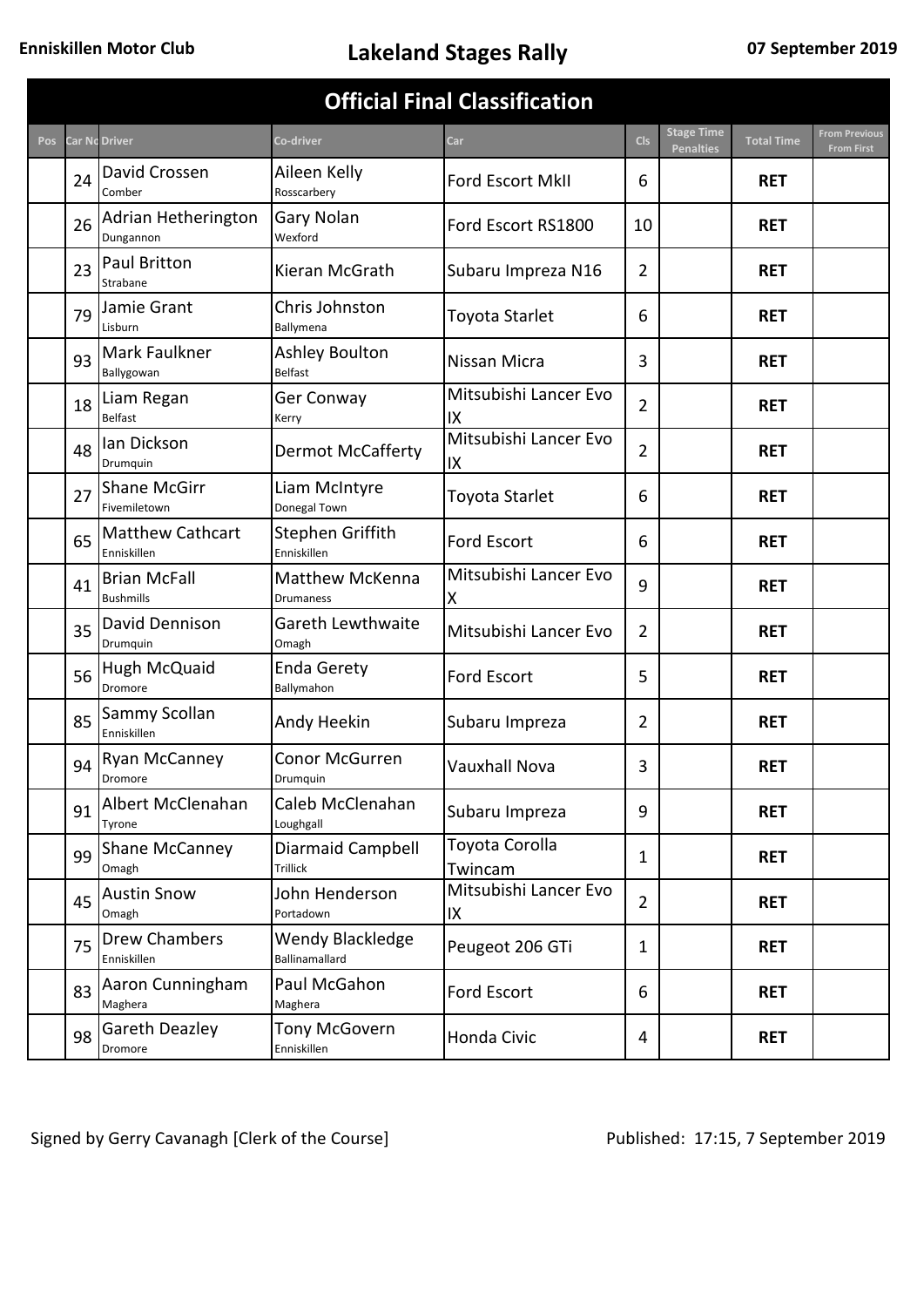|     |    |                                         |                                            | <b>Official Final Classification</b> |                |                                       |                   |                                   |
|-----|----|-----------------------------------------|--------------------------------------------|--------------------------------------|----------------|---------------------------------------|-------------------|-----------------------------------|
| Pos |    | <b>Car Nc Driver</b>                    | Co-driver                                  | Car                                  | <b>Cls</b>     | <b>Stage Time</b><br><b>Penalties</b> | <b>Total Time</b> | rom Previous<br><b>From First</b> |
|     | 24 | David Crossen<br>Comber                 | Aileen Kelly<br>Rosscarbery                | Ford Escort MkII                     | 6              |                                       | <b>RET</b>        |                                   |
|     | 26 | Adrian Hetherington<br>Dungannon        | Gary Nolan<br>Wexford                      | Ford Escort RS1800                   | 10             |                                       | <b>RET</b>        |                                   |
|     | 23 | Paul Britton<br>Strabane                | Kieran McGrath                             | Subaru Impreza N16                   | $\overline{2}$ |                                       | <b>RET</b>        |                                   |
|     | 79 | Jamie Grant<br>Lisburn                  | Chris Johnston<br>Ballymena                | Toyota Starlet                       | 6              |                                       | <b>RET</b>        |                                   |
|     | 93 | Mark Faulkner<br>Ballygowan             | Ashley Boulton<br><b>Belfast</b>           | Nissan Micra                         | 3              |                                       | <b>RET</b>        |                                   |
|     | 18 | Liam Regan<br>Belfast                   | Ger Conway<br>Kerry                        | Mitsubishi Lancer Evo<br>IΧ          | $\overline{2}$ |                                       | <b>RET</b>        |                                   |
|     | 48 | lan Dickson<br>Drumquin                 | <b>Dermot McCafferty</b>                   | Mitsubishi Lancer Evo<br>IX          | $\overline{2}$ |                                       | <b>RET</b>        |                                   |
|     | 27 | <b>Shane McGirr</b><br>Fivemiletown     | Liam McIntyre<br>Donegal Town              | Toyota Starlet                       | 6              |                                       | <b>RET</b>        |                                   |
|     | 65 | Matthew Cathcart<br>Enniskillen         | Stephen Griffith<br>Enniskillen            | <b>Ford Escort</b>                   | 6              |                                       | <b>RET</b>        |                                   |
|     | 41 | <b>Brian McFall</b><br><b>Bushmills</b> | <b>Matthew McKenna</b><br><b>Drumaness</b> | Mitsubishi Lancer Evo<br>Χ           | 9              |                                       | <b>RET</b>        |                                   |
|     | 35 | David Dennison<br>Drumquin              | Gareth Lewthwaite<br>Omagh                 | Mitsubishi Lancer Evo                | $\overline{2}$ |                                       | <b>RET</b>        |                                   |
|     | 56 | Hugh McQuaid<br>Dromore                 | <b>Enda Gerety</b><br>Ballymahon           | Ford Escort                          | 5              |                                       | <b>RET</b>        |                                   |
|     | 85 | Sammy Scollan<br>Enniskillen            | Andy Heekin                                | Subaru Impreza                       | 2              |                                       | <b>RET</b>        |                                   |
|     | 94 | Ryan McCanney<br>Dromore                | Conor McGurren<br>Drumquin                 | Vauxhall Nova                        | 3              |                                       | <b>RET</b>        |                                   |
|     | 91 | Albert McClenahan<br>Tyrone             | Caleb McClenahan<br>Loughgall              | Subaru Impreza                       | 9              |                                       | <b>RET</b>        |                                   |
|     | 99 | <b>Shane McCanney</b><br>Omagh          | Diarmaid Campbell<br>Trillick              | Toyota Corolla<br>Twincam            | 1              |                                       | <b>RET</b>        |                                   |
|     | 45 | <b>Austin Snow</b><br>Omagh             | John Henderson<br>Portadown                | Mitsubishi Lancer Evo<br>IΧ          | $\overline{2}$ |                                       | <b>RET</b>        |                                   |
|     | 75 | <b>Drew Chambers</b><br>Enniskillen     | Wendy Blackledge<br>Ballinamallard         | Peugeot 206 GTi                      | 1              |                                       | <b>RET</b>        |                                   |
|     | 83 | Aaron Cunningham<br>Maghera             | Paul McGahon<br>Maghera                    | Ford Escort                          | 6              |                                       | <b>RET</b>        |                                   |
|     | 98 | <b>Gareth Deazley</b><br>Dromore        | Tony McGovern<br>Enniskillen               | Honda Civic                          | 4              |                                       | <b>RET</b>        |                                   |

Signed by Gerry Cavanagh [Clerk of the Course] Published: 17:15, 7 September 2019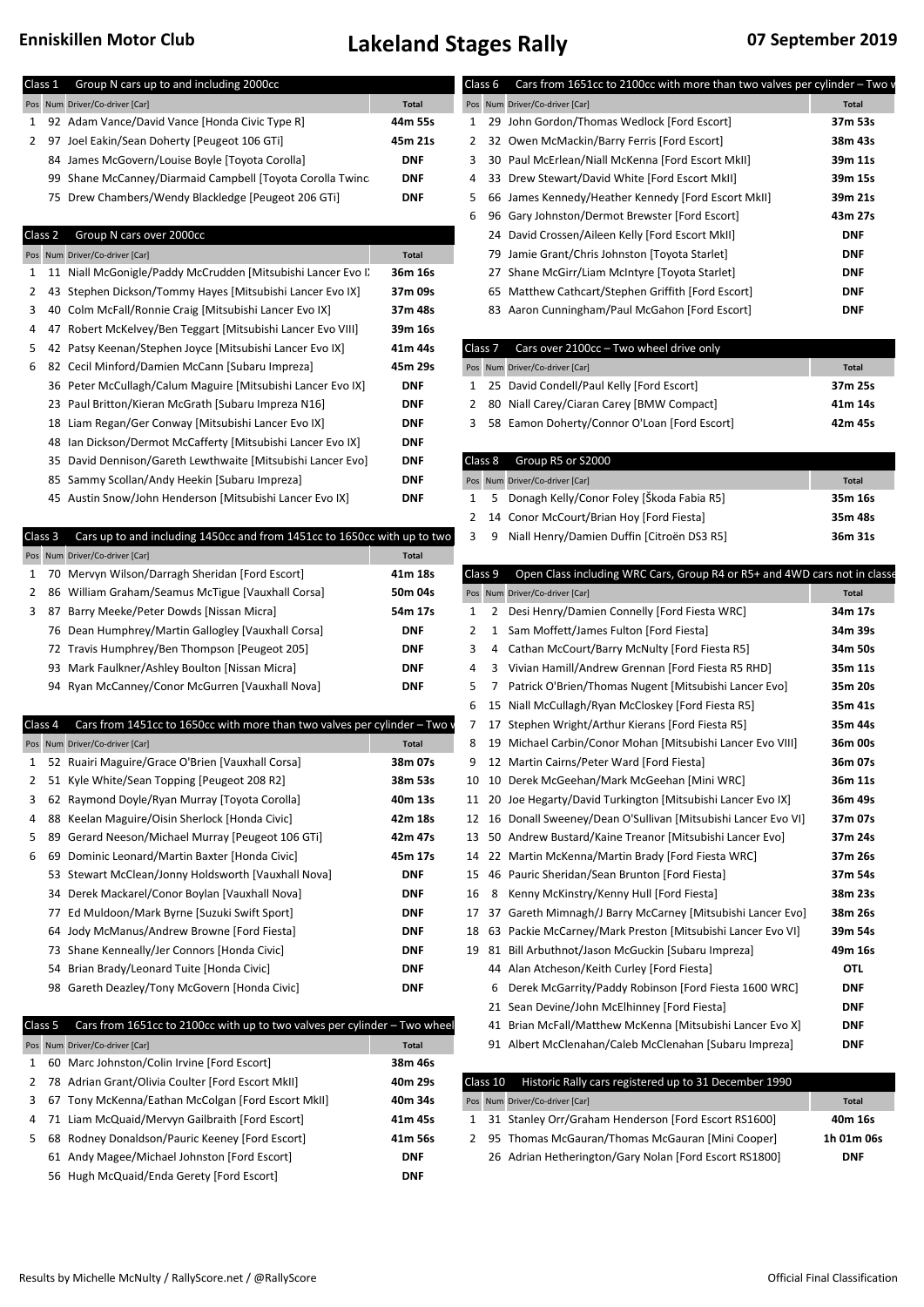| Class 1        |    | Group N cars up to and including 2000cc<br>Pos Num Driver/Co-driver [Car]                 | <b>Total</b>             | Class 6            |          | Cars from 1651cc to 2100cc with more than two valves per cylinder - Two v<br>Pos Num Driver/Co-driver [Car] | <b>Total</b> |
|----------------|----|-------------------------------------------------------------------------------------------|--------------------------|--------------------|----------|-------------------------------------------------------------------------------------------------------------|--------------|
| 1              |    | 92 Adam Vance/David Vance [Honda Civic Type R]                                            | 44m 55s                  | $\mathbf{1}$       |          | 29 John Gordon/Thomas Wedlock [Ford Escort]                                                                 | 37m 53s      |
|                |    |                                                                                           |                          |                    |          |                                                                                                             |              |
| 2              |    | 97 Joel Eakin/Sean Doherty [Peugeot 106 GTi]                                              | 45m 21s                  | $2^{\circ}$        |          | 32 Owen McMackin/Barry Ferris [Ford Escort]                                                                 | 38m 43s      |
|                |    | 84 James McGovern/Louise Boyle [Toyota Corolla]                                           | <b>DNF</b>               | 3                  |          | 30 Paul McErlean/Niall McKenna [Ford Escort MkII]                                                           | 39m 11s      |
|                |    | 99 Shane McCanney/Diarmaid Campbell [Toyota Corolla Twinc                                 | <b>DNF</b>               | 4                  |          | 33 Drew Stewart/David White [Ford Escort MkII]                                                              | 39m 15s      |
|                |    | 75 Drew Chambers/Wendy Blackledge [Peugeot 206 GTi]                                       | <b>DNF</b>               | 5                  |          | 66 James Kennedy/Heather Kennedy [Ford Escort MkII]                                                         | 39m 21s      |
|                |    |                                                                                           |                          | 6                  |          | 96 Gary Johnston/Dermot Brewster [Ford Escort]                                                              | 43m 27s      |
| Class 2        |    | Group N cars over 2000cc                                                                  |                          |                    |          | 24 David Crossen/Aileen Kelly [Ford Escort MkII]                                                            | <b>DNF</b>   |
|                |    | Pos Num Driver/Co-driver [Car]                                                            | <b>Total</b>             |                    |          | 79 Jamie Grant/Chris Johnston [Toyota Starlet]                                                              | <b>DNF</b>   |
| 1              |    | 11 Niall McGonigle/Paddy McCrudden [Mitsubishi Lancer Evo I]                              | 36m 16s                  |                    |          | 27 Shane McGirr/Liam McIntyre [Toyota Starlet]                                                              | <b>DNF</b>   |
| 2              | 43 | Stephen Dickson/Tommy Hayes [Mitsubishi Lancer Evo IX]                                    | 37m 09s                  |                    |          | 65 Matthew Cathcart/Stephen Griffith [Ford Escort]                                                          | <b>DNF</b>   |
| 3              | 40 | Colm McFall/Ronnie Craig [Mitsubishi Lancer Evo IX]                                       | 37m 48s                  |                    |          | 83 Aaron Cunningham/Paul McGahon [Ford Escort]                                                              | <b>DNF</b>   |
| 4<br>47        |    | Robert McKelvey/Ben Teggart [Mitsubishi Lancer Evo VIII]                                  | 39m 16s                  |                    |          |                                                                                                             |              |
| 5              | 42 | Patsy Keenan/Stephen Joyce [Mitsubishi Lancer Evo IX]                                     | 41m 44s                  | Class <sub>7</sub> |          | Cars over 2100cc - Two wheel drive only                                                                     |              |
| 6              |    | 82 Cecil Minford/Damien McCann [Subaru Impreza]                                           | 45m 29s                  |                    |          | Pos Num Driver/Co-driver [Car]                                                                              | <b>Total</b> |
|                | 36 | Peter McCullagh/Calum Maguire [Mitsubishi Lancer Evo IX]                                  | <b>DNF</b>               | 1                  |          | 25 David Condell/Paul Kelly [Ford Escort]                                                                   | 37m 25s      |
|                |    | 23 Paul Britton/Kieran McGrath [Subaru Impreza N16]                                       | <b>DNF</b>               | 2                  |          | 80 Niall Carey/Ciaran Carey [BMW Compact]                                                                   | 41m 14s      |
|                | 18 | Liam Regan/Ger Conway [Mitsubishi Lancer Evo IX]                                          | <b>DNF</b>               | 3                  |          | 58 Eamon Doherty/Connor O'Loan [Ford Escort]                                                                | 42m 45s      |
|                | 48 | Ian Dickson/Dermot McCafferty [Mitsubishi Lancer Evo IX]                                  | <b>DNF</b>               |                    |          |                                                                                                             |              |
|                | 35 | David Dennison/Gareth Lewthwaite [Mitsubishi Lancer Evo]                                  | <b>DNF</b>               | Class 8            |          | Group R5 or S2000                                                                                           |              |
|                | 85 | Sammy Scollan/Andy Heekin [Subaru Impreza]                                                | <b>DNF</b>               |                    |          | Pos Num Driver/Co-driver [Car]                                                                              | <b>Total</b> |
|                |    | 45 Austin Snow/John Henderson [Mitsubishi Lancer Evo IX]                                  | <b>DNF</b>               | 1                  | 5        | Donagh Kelly/Conor Foley [Škoda Fabia R5]                                                                   | 35m 16s      |
|                |    |                                                                                           |                          | 2                  |          | 14 Conor McCourt/Brian Hoy [Ford Fiesta]                                                                    | 35m 48s      |
| Class 3        |    | Cars up to and including 1450cc and from 1451cc to 1650cc with up to two                  |                          | 3                  | 9        | Niall Henry/Damien Duffin [Citroën DS3 R5]                                                                  | 36m 31s      |
|                |    | Pos Num Driver/Co-driver [Car]                                                            | <b>Total</b>             |                    |          |                                                                                                             |              |
| 1              | 70 | Mervyn Wilson/Darragh Sheridan [Ford Escort]                                              | 41m 18s                  | Class 9            |          | Open Class including WRC Cars, Group R4 or R5+ and 4WD cars not in classe                                   |              |
| 2              | 86 | William Graham/Seamus McTigue [Vauxhall Corsa]                                            | 50m 04s                  |                    |          |                                                                                                             | <b>Total</b> |
| 87             |    |                                                                                           |                          |                    |          | Pos Num Driver/Co-driver [Car]                                                                              |              |
| 3              |    | Barry Meeke/Peter Dowds [Nissan Micra]                                                    | 54m 17s                  | 1                  | 2        | Desi Henry/Damien Connelly [Ford Fiesta WRC]                                                                | 34m 17s      |
|                |    | 76 Dean Humphrey/Martin Gallogley [Vauxhall Corsa]                                        | <b>DNF</b>               | 2                  | 1        | Sam Moffett/James Fulton [Ford Fiesta]                                                                      | 34m 39s      |
|                |    | 72 Travis Humphrey/Ben Thompson [Peugeot 205]                                             | <b>DNF</b>               | 3                  | 4        | Cathan McCourt/Barry McNulty [Ford Fiesta R5]                                                               | 34m 50s      |
|                |    | 93 Mark Faulkner/Ashley Boulton [Nissan Micra]                                            | <b>DNF</b>               | 4                  | 3        | Vivian Hamill/Andrew Grennan [Ford Fiesta R5 RHD]                                                           | 35m 11s      |
|                |    | 94 Ryan McCanney/Conor McGurren [Vauxhall Nova]                                           | <b>DNF</b>               | 5                  | 7        | Patrick O'Brien/Thomas Nugent [Mitsubishi Lancer Evo]                                                       | 35m 20s      |
|                |    |                                                                                           |                          | 6                  |          | 15 Niall McCullagh/Ryan McCloskey [Ford Fiesta R5]                                                          | 35m 41s      |
| Class 4        |    | Cars from 1451cc to 1650cc with more than two valves per cylinder - Two                   |                          | 7                  |          | 17 Stephen Wright/Arthur Kierans [Ford Fiesta R5]                                                           | 35m 44s      |
|                |    | Pos Num Driver/Co-driver [Car]                                                            | <b>Total</b>             | 8                  |          | 19 Michael Carbin/Conor Mohan [Mitsubishi Lancer Evo VIII]                                                  | 36m 00s      |
| 1              |    | 52 Ruairi Maguire/Grace O'Brien [Vauxhall Corsa]                                          | 38m 07s                  | 9                  |          | 12 Martin Cairns/Peter Ward [Ford Fiesta]                                                                   | 36m 07s      |
| 2              |    | 51 Kyle White/Sean Topping [Peugeot 208 R2]                                               | 38m 53s                  |                    |          | 10 10 Derek McGeehan/Mark McGeehan [Mini WRC]                                                               | 36m 11s      |
| 3              |    | 62 Raymond Doyle/Ryan Murray [Toyota Corolla]                                             | 40m 13s                  |                    |          | 11 20 Joe Hegarty/David Turkington [Mitsubishi Lancer Evo IX]                                               | 36m 49s      |
| 4              |    | 88 Keelan Maguire/Oisin Sherlock [Honda Civic]                                            | 42m 18s                  |                    |          | 12 16 Donall Sweeney/Dean O'Sullivan [Mitsubishi Lancer Evo VI]                                             | 37m 07s      |
| 5              |    | 89 Gerard Neeson/Michael Murray [Peugeot 106 GTi]                                         | 42m 47s                  |                    |          | 13 50 Andrew Bustard/Kaine Treanor [Mitsubishi Lancer Evo]                                                  | 37m 24s      |
| 6              | 69 | Dominic Leonard/Martin Baxter [Honda Civic]                                               | 45m 17s                  |                    |          | 14 22 Martin McKenna/Martin Brady [Ford Fiesta WRC]                                                         | 37m 26s      |
|                |    | 53 Stewart McClean/Jonny Holdsworth [Vauxhall Nova]                                       | <b>DNF</b>               |                    |          | 15 46 Pauric Sheridan/Sean Brunton [Ford Fiesta]                                                            | 37m 54s      |
|                |    | 34 Derek Mackarel/Conor Boylan [Vauxhall Nova]                                            | <b>DNF</b>               | 16                 | 8        | Kenny McKinstry/Kenny Hull [Ford Fiesta]                                                                    | 38m 23s      |
|                |    | 77 Ed Muldoon/Mark Byrne [Suzuki Swift Sport]                                             | <b>DNF</b>               |                    |          | 17 37 Gareth Mimnagh/J Barry McCarney [Mitsubishi Lancer Evo]                                               | 38m 26s      |
|                |    | 64 Jody McManus/Andrew Browne [Ford Fiesta]                                               | <b>DNF</b>               |                    |          | 18 63 Packie McCarney/Mark Preston [Mitsubishi Lancer Evo VI]                                               | 39m 54s      |
|                |    | 73 Shane Kenneally/Jer Connors [Honda Civic]                                              | <b>DNF</b>               |                    |          | 19 81 Bill Arbuthnot/Jason McGuckin [Subaru Impreza]                                                        | 49m 16s      |
|                |    | 54 Brian Brady/Leonard Tuite [Honda Civic]                                                | <b>DNF</b>               |                    |          | 44 Alan Atcheson/Keith Curley [Ford Fiesta]                                                                 | OTL          |
|                |    | 98 Gareth Deazley/Tony McGovern [Honda Civic]                                             | <b>DNF</b>               |                    | 6        | Derek McGarrity/Paddy Robinson [Ford Fiesta 1600 WRC]                                                       | <b>DNF</b>   |
|                |    |                                                                                           |                          |                    |          | 21 Sean Devine/John McElhinney [Ford Fiesta]                                                                | <b>DNF</b>   |
| Class 5        |    | Cars from 1651cc to 2100cc with up to two valves per cylinder - Two wheel                 |                          |                    |          | 41 Brian McFall/Matthew McKenna [Mitsubishi Lancer Evo X]                                                   | <b>DNF</b>   |
|                |    | Pos Num Driver/Co-driver [Car]                                                            | <b>Total</b>             |                    |          | 91 Albert McClenahan/Caleb McClenahan [Subaru Impreza]                                                      | <b>DNF</b>   |
| 1              |    | 60 Marc Johnston/Colin Irvine [Ford Escort]                                               | 38m 46s                  |                    |          |                                                                                                             |              |
|                |    | 78 Adrian Grant/Olivia Coulter [Ford Escort MkII]                                         | 40m 29s                  |                    | Class 10 | Historic Rally cars registered up to 31 December 1990                                                       |              |
|                |    |                                                                                           |                          |                    |          |                                                                                                             |              |
| $\overline{2}$ |    | Tony McKenna/Eathan McColgan [Ford Escort MkII]                                           | 40m 34s                  |                    |          | Pos Num Driver/Co-driver [Car]                                                                              | <b>Total</b> |
| 3<br>67        |    | Liam McQuaid/Mervyn Gailbraith [Ford Escort]                                              | 41m 45s                  | 1                  |          | 31 Stanley Orr/Graham Henderson [Ford Escort RS1600]                                                        | 40m 16s      |
| 4              | 71 |                                                                                           |                          |                    |          | 2 95 Thomas McGauran/Thomas McGauran [Mini Cooper]                                                          | 1h 01m 06s   |
| 5              |    | 68 Rodney Donaldson/Pauric Keeney [Ford Escort]                                           | 41m 56s                  |                    |          |                                                                                                             |              |
|                |    | 61 Andy Magee/Michael Johnston [Ford Escort]<br>56 Hugh McQuaid/Enda Gerety [Ford Escort] | <b>DNF</b><br><b>DNF</b> |                    |          | 26 Adrian Hetherington/Gary Nolan [Ford Escort RS1800]                                                      | <b>DNF</b>   |

|   | lass 6 | Cars from 1651cc to 2100cc with more than two valves per cylinder $-$ Two $\cdot$ |              |
|---|--------|-----------------------------------------------------------------------------------|--------------|
|   |        | os Num Driver/Co-driver [Car]                                                     | <b>Total</b> |
| 1 |        | 29 John Gordon/Thomas Wedlock [Ford Escort]                                       | 37m 53s      |
| 2 |        | 32 Owen McMackin/Barry Ferris [Ford Escort]                                       | 38m 43s      |
| 3 |        | 30 Paul McErlean/Niall McKenna [Ford Escort MkII]                                 | 39m 11s      |
| 4 |        | 33 Drew Stewart/David White [Ford Escort MkII]                                    | 39m 15s      |
| 5 |        | 66 James Kennedy/Heather Kennedy [Ford Escort MkII]                               | 39m 21s      |
| 6 |        | 96 Gary Johnston/Dermot Brewster [Ford Escort]                                    | 43m 27s      |
|   |        | 24 David Crossen/Aileen Kelly [Ford Escort MkII]                                  | <b>DNF</b>   |
|   |        | 79 Jamie Grant/Chris Johnston [Toyota Starlet]                                    | <b>DNF</b>   |
|   |        | 27 Shane McGirr/Liam McIntyre [Toyota Starlet]                                    | <b>DNF</b>   |
|   |        | 65 Matthew Cathcart/Stephen Griffith [Ford Escort]                                | <b>DNF</b>   |
|   |        | 83 Aaron Cunningham/Paul McGahon [Ford Escort]                                    | <b>DNF</b>   |
|   |        |                                                                                   |              |

|  |  | Class 7 Cars over $2100cc - Two$ wheel drive only |              |
|--|--|---------------------------------------------------|--------------|
|  |  | Pos Num Driver/Co-driver [Car]                    | <b>Total</b> |
|  |  | 1 25 David Condell/Paul Kelly [Ford Escort]       | 37m 25s      |
|  |  | 2 80 Niall Carey/Ciaran Carey [BMW Compact]       | 41m 14s      |
|  |  | 3 58 Eamon Doherty/Connor O'Loan [Ford Escort]    | 42m 45s      |
|  |  |                                                   |              |

|  |  | Class 8 Group R5 or S2000                      |              |
|--|--|------------------------------------------------|--------------|
|  |  | Pos Num Driver/Co-driver [Car]                 | <b>Total</b> |
|  |  | 1 5 Donagh Kelly/Conor Foley [Škoda Fabia R5]  | 35m 16s      |
|  |  | 2 14 Conor McCourt/Brian Hoy [Ford Fiesta]     | 35m 48s      |
|  |  | 3 9 Niall Henry/Damien Duffin [Citroën DS3 R5] | 36m 31s      |

| Class 9 |   | Open Class including WRC Cars, Group R4 or R5+ and 4WD cars not in class |              |
|---------|---|--------------------------------------------------------------------------|--------------|
| Pos     |   | Num Driver/Co-driver [Car]                                               | <b>Total</b> |
| 1       | 2 | Desi Henry/Damien Connelly [Ford Fiesta WRC]                             | 34m 17s      |
| 2       | 1 | Sam Moffett/James Fulton [Ford Fiesta]                                   | 34m 39s      |
| 3       | 4 | Cathan McCourt/Barry McNulty [Ford Fiesta R5]                            | 34m 50s      |
| 4       | 3 | Vivian Hamill/Andrew Grennan [Ford Fiesta R5 RHD]                        | 35m 11s      |
| 5       | 7 | Patrick O'Brien/Thomas Nugent [Mitsubishi Lancer Evo]                    | 35m 20s      |
| 6       |   | 15 Niall McCullagh/Ryan McCloskey [Ford Fiesta R5]                       | 35m 41s      |
| 7       |   | 17 Stephen Wright/Arthur Kierans [Ford Fiesta R5]                        | 35m 44s      |
| 8       |   | 19 Michael Carbin/Conor Mohan [Mitsubishi Lancer Evo VIII]               | 36m 00s      |
| 9       |   | 12 Martin Cairns/Peter Ward [Ford Fiesta]                                | 36m 07s      |
| 10      |   | 10 Derek McGeehan/Mark McGeehan [Mini WRC]                               | 36m 11s      |
| 11      |   | 20 Joe Hegarty/David Turkington [Mitsubishi Lancer Evo IX]               | 36m 49s      |
| 12      |   | 16 Donall Sweeney/Dean O'Sullivan [Mitsubishi Lancer Evo VI]             | 37m 07s      |
| 13      |   | 50 Andrew Bustard/Kaine Treanor [Mitsubishi Lancer Evo]                  | 37m 24s      |
| 14      |   | 22 Martin McKenna/Martin Brady [Ford Fiesta WRC]                         | 37m 26s      |
| 15      |   | 46 Pauric Sheridan/Sean Brunton [Ford Fiesta]                            | 37m 54s      |
| 16      | 8 | Kenny McKinstry/Kenny Hull [Ford Fiesta]                                 | 38m 23s      |
| 17      |   | 37 Gareth Mimnagh/J Barry McCarney [Mitsubishi Lancer Evo]               | 38m 26s      |
| 18      |   | 63 Packie McCarney/Mark Preston [Mitsubishi Lancer Evo VI]               | 39m 54s      |
| 19      |   | 81 Bill Arbuthnot/Jason McGuckin [Subaru Impreza]                        | 49m 16s      |
|         |   | 44 Alan Atcheson/Keith Curley [Ford Fiesta]                              | <b>OTL</b>   |
|         | 6 | Derek McGarrity/Paddy Robinson [Ford Fiesta 1600 WRC]                    | <b>DNF</b>   |
|         |   | 21 Sean Devine/John McElhinney [Ford Fiesta]                             | <b>DNF</b>   |
|         |   | 41 Brian McFall/Matthew McKenna [Mitsubishi Lancer Evo X]                | <b>DNF</b>   |
|         |   | 91 Albert McClenahan/Caleb McClenahan [Subaru Impreza]                   | <b>DNF</b>   |
|         |   |                                                                          |              |

|  |  | Class 10 Historic Rally cars registered up to 31 December 1990 |              |
|--|--|----------------------------------------------------------------|--------------|
|  |  | Pos Num Driver/Co-driver [Car]                                 | <b>Total</b> |
|  |  | 1 31 Stanley Orr/Graham Henderson [Ford Escort RS1600]         | 40m 16s      |
|  |  | 95 Thomas McGauran/Thomas McGauran [Mini Cooper]               | 1h 01m 06s   |
|  |  | 26 Adrian Hetherington/Gary Nolan [Ford Escort RS1800]         | <b>DNF</b>   |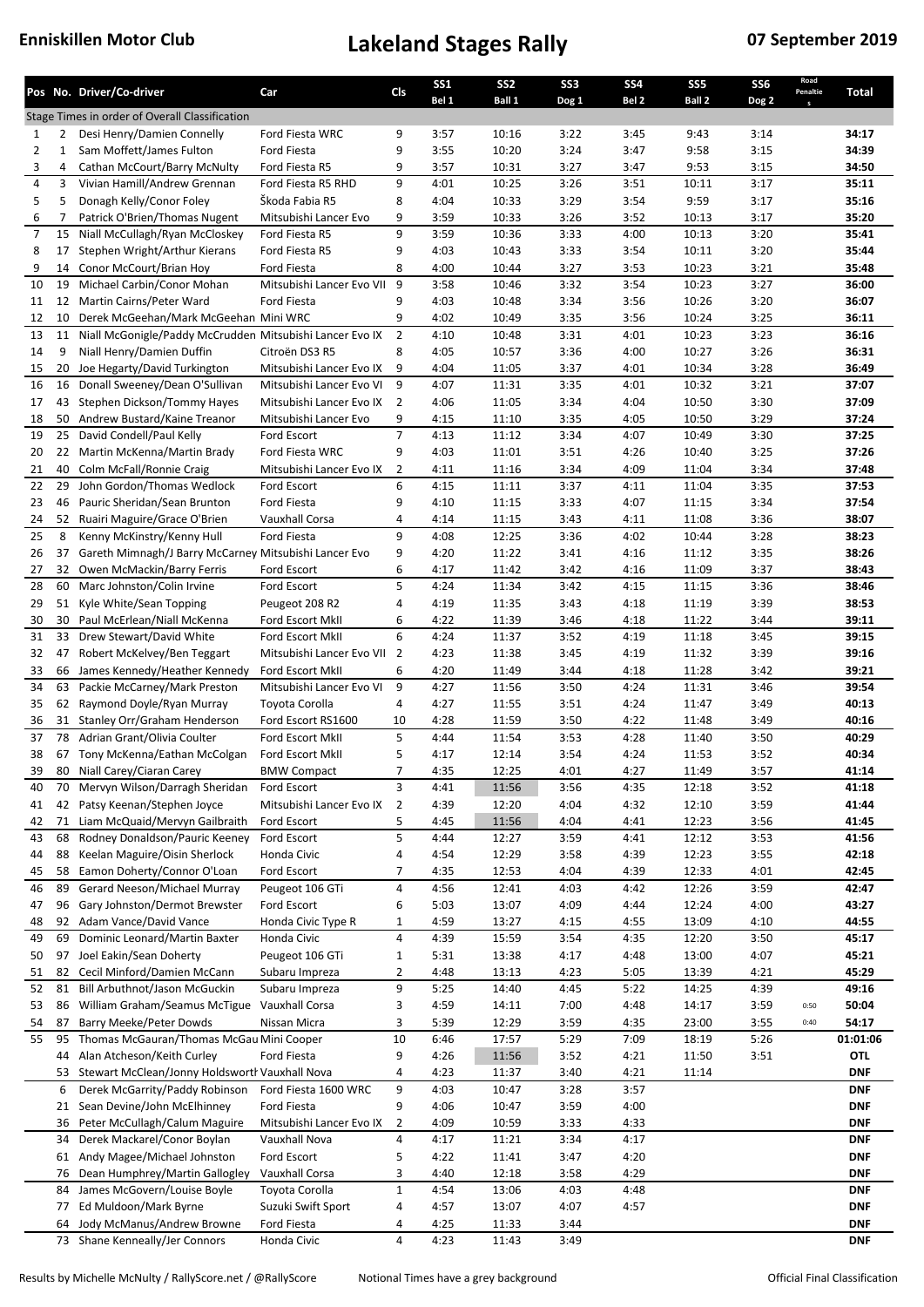|                |              | Pos No. Driver/Co-driver                                    | Car                                    | Cls            | SS <sub>1</sub><br>Bel 1 | SS <sub>2</sub><br>Ball 1 | SS <sub>3</sub><br>Dog 1 | SS <sub>4</sub><br>Bel 2 | SS <sub>5</sub><br>Ball 2 | SS <sub>6</sub><br>Dog 2 | Road<br>Penaltie | Total          |
|----------------|--------------|-------------------------------------------------------------|----------------------------------------|----------------|--------------------------|---------------------------|--------------------------|--------------------------|---------------------------|--------------------------|------------------|----------------|
|                |              | Stage Times in order of Overall Classification              |                                        |                |                          |                           |                          |                          |                           |                          |                  |                |
| 1              | 2            | Desi Henry/Damien Connelly                                  | Ford Fiesta WRC                        | 9              | 3:57                     | 10:16                     | 3:22                     | 3:45                     | 9:43                      | 3:14                     |                  | 34:17          |
| $\overline{2}$ | $\mathbf{1}$ | Sam Moffett/James Fulton                                    | Ford Fiesta                            | 9              | 3:55                     | 10:20                     | 3:24                     | 3:47                     | 9:58                      | 3:15                     |                  | 34:39          |
| 3              | 4            | Cathan McCourt/Barry McNulty                                | Ford Fiesta R5                         | 9              | 3:57                     | 10:31                     | 3:27                     | 3:47                     | 9:53                      | 3:15                     |                  | 34:50          |
| 4              | 3            | Vivian Hamill/Andrew Grennan                                | Ford Fiesta R5 RHD                     | 9              | 4:01                     | 10:25                     | 3:26                     | 3:51                     | 10:11                     | 3:17                     |                  | 35:11          |
| 5              | 5            | Donagh Kelly/Conor Foley                                    | Škoda Fabia R5                         | 8              | 4:04                     | 10:33                     | 3:29                     | 3:54                     | 9:59                      | 3:17                     |                  | 35:16          |
| 6              | 7            | Patrick O'Brien/Thomas Nugent                               | Mitsubishi Lancer Evo                  | 9              | 3:59                     | 10:33                     | 3:26                     | 3:52                     | 10:13                     | 3:17                     |                  | 35:20          |
| 7              | 15           | Niall McCullagh/Ryan McCloskey                              | Ford Fiesta R5                         | 9              | 3:59                     | 10:36                     | 3:33                     | 4:00                     | 10:13                     | 3:20                     |                  | 35:41          |
| 8              | 17           | Stephen Wright/Arthur Kierans                               | Ford Fiesta R5                         | 9              | 4:03                     | 10:43                     | 3:33                     | 3:54                     | 10:11                     | 3:20                     |                  | 35:44          |
| 9              | 14           | Conor McCourt/Brian Hoy                                     | Ford Fiesta                            | 8              | 4:00                     | 10:44                     | 3:27                     | 3:53                     | 10:23                     | 3:21                     |                  | 35:48          |
| 10             | 19           | Michael Carbin/Conor Mohan                                  | Mitsubishi Lancer Evo VII 9            |                | 3:58                     | 10:46                     | 3:32                     | 3:54                     | 10:23                     | 3:27                     |                  | 36:00          |
| 11             | 12           | Martin Cairns/Peter Ward                                    | Ford Fiesta                            | 9              | 4:03                     | 10:48                     | 3:34                     | 3:56                     | 10:26                     | 3:20                     |                  | 36:07          |
| 12             | 10           | Derek McGeehan/Mark McGeehan Mini WRC                       |                                        | 9              | 4:02                     | 10:49                     | 3:35                     | 3:56                     | 10:24                     | 3:25                     |                  | 36:11          |
| 13             | 11           | Niall McGonigle/Paddy McCrudden Mitsubishi Lancer Evo IX    |                                        | $\overline{2}$ | 4:10                     | 10:48                     | 3:31                     | 4:01                     | 10:23                     | 3:23                     |                  | 36:16          |
| 14             | 9            | Niall Henry/Damien Duffin                                   | Citroën DS3 R5                         | 8              | 4:05                     | 10:57                     | 3:36                     | 4:00                     | 10:27                     | 3:26                     |                  | 36:31          |
| 15             | 20           | Joe Hegarty/David Turkington                                | Mitsubishi Lancer Evo IX               | 9              | 4:04                     | 11:05                     | 3:37                     | 4:01                     | 10:34                     | 3:28                     |                  | 36:49          |
| 16             | 16           | Donall Sweeney/Dean O'Sullivan                              | Mitsubishi Lancer Evo VI               | 9              | 4:07                     | 11:31                     | 3:35                     | 4:01                     | 10:32                     | 3:21                     |                  | 37:07          |
| 17             | 43           | Stephen Dickson/Tommy Hayes                                 | Mitsubishi Lancer Evo IX               | $\overline{2}$ | 4:06                     | 11:05                     | 3:34                     | 4:04                     | 10:50                     | 3:30                     |                  | 37:09          |
| 18             | 50           | Andrew Bustard/Kaine Treanor                                | Mitsubishi Lancer Evo                  | 9              | 4:15                     | 11:10                     | 3:35                     | 4:05                     | 10:50                     | 3:29                     |                  | 37:24          |
| 19             | 25           | David Condell/Paul Kelly                                    | Ford Escort                            | $\overline{7}$ | 4:13                     | 11:12                     | 3:34                     | 4:07                     | 10:49                     | 3:30                     |                  | 37:25          |
| 20             |              | 22 Martin McKenna/Martin Brady                              | Ford Fiesta WRC                        | 9              | 4:03                     | 11:01                     | 3:51                     | 4:26                     | 10:40                     | 3:25                     |                  | 37:26          |
| 21             | 40           | Colm McFall/Ronnie Craig                                    | Mitsubishi Lancer Evo IX               | 2              | 4:11                     | 11:16                     | 3:34                     | 4:09                     | 11:04                     | 3:34                     |                  | 37:48          |
| 22             | 29           | John Gordon/Thomas Wedlock                                  | Ford Escort                            | 6              | 4:15                     | 11:11                     | 3:37                     | 4:11                     | 11:04                     | 3:35                     |                  | 37:53          |
| 23             | 46           | Pauric Sheridan/Sean Brunton                                | Ford Fiesta                            | 9              | 4:10                     | 11:15                     | 3:33                     | 4:07                     | 11:15                     | 3:34                     |                  | 37:54          |
| 24             |              | 52 Ruairi Maguire/Grace O'Brien                             | Vauxhall Corsa                         | 4              | 4:14                     | 11:15                     | 3:43                     | 4:11                     | 11:08                     | 3:36                     |                  | 38:07          |
| 25             | 8            | Kenny McKinstry/Kenny Hull                                  | Ford Fiesta                            | 9              | 4:08                     | 12:25                     | 3:36                     | 4:02                     | 10:44                     | 3:28                     |                  | 38:23          |
| 26             | 37           | Gareth Mimnagh/J Barry McCarney Mitsubishi Lancer Evo       |                                        | 9              | 4:20                     | 11:22                     | 3:41                     | 4:16                     | 11:12                     | 3:35                     |                  | 38:26          |
| 27             | 32           | Owen McMackin/Barry Ferris                                  | Ford Escort                            | 6              | 4:17                     | 11:42                     | 3:42                     | 4:16                     | 11:09                     | 3:37                     |                  | 38:43          |
| 28             |              | 60 Marc Johnston/Colin Irvine                               | Ford Escort                            | 5              | 4:24                     | 11:34                     | 3:42                     | 4:15                     | 11:15                     | 3:36                     |                  | 38:46          |
| 29             | 51           | Kyle White/Sean Topping                                     | Peugeot 208 R2                         | 4              | 4:19                     | 11:35                     | 3:43                     | 4:18                     | 11:19                     | 3:39                     |                  | 38:53          |
| 30             | 30           | Paul McErlean/Niall McKenna                                 | Ford Escort MkII                       | 6              | 4:22                     | 11:39                     | 3:46                     | 4:18                     | 11:22                     | 3:44                     |                  | 39:11          |
| 31             | 33           | Drew Stewart/David White                                    | Ford Escort MkII                       | 6              | 4:24                     | 11:37                     | 3:52                     | 4:19                     | 11:18                     | 3:45                     |                  | 39:15          |
| 32             | 47           | Robert McKelvey/Ben Teggart                                 | Mitsubishi Lancer Evo VII 2            |                | 4:23                     | 11:38                     | 3:45                     | 4:19                     | 11:32                     | 3:39                     |                  | 39:16          |
| 33             | 66           | James Kennedy/Heather Kennedy                               | Ford Escort MkII                       | 6              | 4:20                     | 11:49                     | 3:44                     | 4:18                     | 11:28                     | 3:42                     |                  | 39:21          |
| 34             | 63           | Packie McCarney/Mark Preston                                | Mitsubishi Lancer Evo VI               | 9              | 4:27                     | 11:56                     | 3:50                     | 4:24                     | 11:31                     | 3:46                     |                  | 39:54          |
| 35             |              | 62 Raymond Doyle/Ryan Murray                                | Toyota Corolla                         | 4              | 4:27                     | 11:55                     | 3:51                     | 4:24                     | 11:47                     | 3:49                     |                  | 40:13          |
| 36<br>37       | 31<br>78     | Stanley Orr/Graham Henderson<br>Adrian Grant/Olivia Coulter | Ford Escort RS1600<br>Ford Escort MkII | 10<br>5        | 4:28<br>4:44             | 11:59<br>11:54            | 3:50<br>3:53             | 4:22<br>4:28             | 11:48<br>11:40            | 3:49<br>3:50             |                  | 40:16<br>40:29 |
| 38             |              | 67 Tony McKenna/Eathan McColgan                             | Ford Escort MkII                       | 5              | 4:17                     | 12:14                     | 3:54                     | 4:24                     | 11:53                     | 3:52                     |                  | 40:34          |
| 39             |              | 80 Niall Carey/Ciaran Carey                                 | <b>BMW Compact</b>                     | 7              | 4:35                     | 12:25                     | 4:01                     | 4:27                     | 11:49                     | 3:57                     |                  | 41:14          |
| 40             |              | 70 Mervyn Wilson/Darragh Sheridan                           | Ford Escort                            | 3              | 4:41                     | 11:56                     | 3:56                     | 4:35                     | 12:18                     | 3:52                     |                  | 41:18          |
| 41             | 42           | Patsy Keenan/Stephen Joyce                                  | Mitsubishi Lancer Evo IX               | 2              | 4:39                     | 12:20                     | 4:04                     | 4:32                     | 12:10                     | 3:59                     |                  | 41:44          |
| 42             | 71           | Liam McQuaid/Mervyn Gailbraith                              | Ford Escort                            | 5              | 4:45                     | 11:56                     | 4:04                     | 4:41                     | 12:23                     | 3:56                     |                  | 41:45          |
| 43             | 68           | Rodney Donaldson/Pauric Keeney                              | Ford Escort                            | 5              | 4:44                     | 12:27                     | 3:59                     | 4:41                     | 12:12                     | 3:53                     |                  | 41:56          |
| 44             | 88           | Keelan Maguire/Oisin Sherlock                               | Honda Civic                            | 4              | 4:54                     | 12:29                     | 3:58                     | 4:39                     | 12:23                     | 3:55                     |                  | 42:18          |
| 45             | 58           | Eamon Doherty/Connor O'Loan                                 | Ford Escort                            | 7              | 4:35                     | 12:53                     | 4:04                     | 4:39                     | 12:33                     | 4:01                     |                  | 42:45          |
| 46             | 89           | Gerard Neeson/Michael Murray                                | Peugeot 106 GTi                        | 4              | 4:56                     | 12:41                     | 4:03                     | 4:42                     | 12:26                     | 3:59                     |                  | 42:47          |
| 47             | 96           | Gary Johnston/Dermot Brewster                               | Ford Escort                            | 6              | 5:03                     | 13:07                     | 4:09                     | 4:44                     | 12:24                     | 4:00                     |                  | 43:27          |
| 48             | 92           | Adam Vance/David Vance                                      | Honda Civic Type R                     | $\mathbf{1}$   | 4:59                     | 13:27                     | 4:15                     | 4:55                     | 13:09                     | 4:10                     |                  | 44:55          |
| 49             | 69           | Dominic Leonard/Martin Baxter                               | Honda Civic                            | 4              | 4:39                     | 15:59                     | 3:54                     | 4:35                     | 12:20                     | 3:50                     |                  | 45:17          |
| 50             | 97           | Joel Eakin/Sean Doherty                                     | Peugeot 106 GTi                        | $\mathbf{1}$   | 5:31                     | 13:38                     | 4:17                     | 4:48                     | 13:00                     | 4:07                     |                  | 45:21          |
| 51             | 82           | Cecil Minford/Damien McCann                                 | Subaru Impreza                         | 2              | 4:48                     | 13:13                     | 4:23                     | 5:05                     | 13:39                     | 4:21                     |                  | 45:29          |
| 52             | 81           | Bill Arbuthnot/Jason McGuckin                               | Subaru Impreza                         | 9              | 5:25                     | 14:40                     | 4:45                     | 5:22                     | 14:25                     | 4:39                     |                  | 49:16          |
| 53             | 86           | William Graham/Seamus McTigue                               | Vauxhall Corsa                         | 3              | 4:59                     | 14:11                     | 7:00                     | 4:48                     | 14:17                     | 3:59                     | 0:50             | 50:04          |
| 54             | 87           | Barry Meeke/Peter Dowds                                     | Nissan Micra                           | 3              | 5:39                     | 12:29                     | 3:59                     | 4:35                     | 23:00                     | 3:55                     | 0:40             | 54:17          |
| 55             | 95           | Thomas McGauran/Thomas McGau Mini Cooper                    |                                        | 10             | 6:46                     | 17:57                     | 5:29                     | 7:09                     | 18:19                     | 5:26                     |                  | 01:01:06       |
|                | 44           | Alan Atcheson/Keith Curley                                  | Ford Fiesta                            | 9              | 4:26                     | 11:56                     | 3:52                     | 4:21                     | 11:50                     | 3:51                     |                  | <b>OTL</b>     |
|                | 53           | Stewart McClean/Jonny Holdsworth Vauxhall Nova              |                                        | 4              | 4:23                     | 11:37                     | 3:40                     | 4:21                     | 11:14                     |                          |                  | DNF            |
|                | 6            | Derek McGarrity/Paddy Robinson                              | Ford Fiesta 1600 WRC                   | 9              | 4:03                     | 10:47                     | 3:28                     | 3:57                     |                           |                          |                  | <b>DNF</b>     |
|                | 21           | Sean Devine/John McElhinney                                 | Ford Fiesta                            | 9              | 4:06                     | 10:47                     | 3:59                     | 4:00                     |                           |                          |                  | <b>DNF</b>     |
|                | 36           | Peter McCullagh/Calum Maguire                               | Mitsubishi Lancer Evo IX               | 2              | 4:09                     | 10:59                     | 3:33                     | 4:33                     |                           |                          |                  | <b>DNF</b>     |
|                | 34           | Derek Mackarel/Conor Boylan                                 | Vauxhall Nova                          | 4              | 4:17                     | 11:21                     | 3:34                     | 4:17                     |                           |                          |                  | <b>DNF</b>     |
|                | 61           | Andy Magee/Michael Johnston                                 | Ford Escort                            | 5              | 4:22                     | 11:41                     | 3:47                     | 4:20                     |                           |                          |                  | <b>DNF</b>     |
|                | 76           | Dean Humphrey/Martin Gallogley                              | Vauxhall Corsa                         | 3              | 4:40                     | 12:18                     | 3:58                     | 4:29                     |                           |                          |                  | <b>DNF</b>     |
|                | 84           | James McGovern/Louise Boyle                                 | Toyota Corolla                         | $\mathbf{1}$   | 4:54                     | 13:06                     | 4:03                     | 4:48                     |                           |                          |                  | <b>DNF</b>     |
|                | 77           | Ed Muldoon/Mark Byrne                                       | Suzuki Swift Sport                     | 4              | 4:57                     | 13:07                     | 4:07                     | 4:57                     |                           |                          |                  | <b>DNF</b>     |
|                | 64           | Jody McManus/Andrew Browne                                  | Ford Fiesta                            | 4              | 4:25                     | 11:33                     | 3:44                     |                          |                           |                          |                  | <b>DNF</b>     |
|                |              | 73 Shane Kenneally/Jer Connors                              | Honda Civic                            | 4              | 4:23                     | 11:43                     | 3:49                     |                          |                           |                          |                  | <b>DNF</b>     |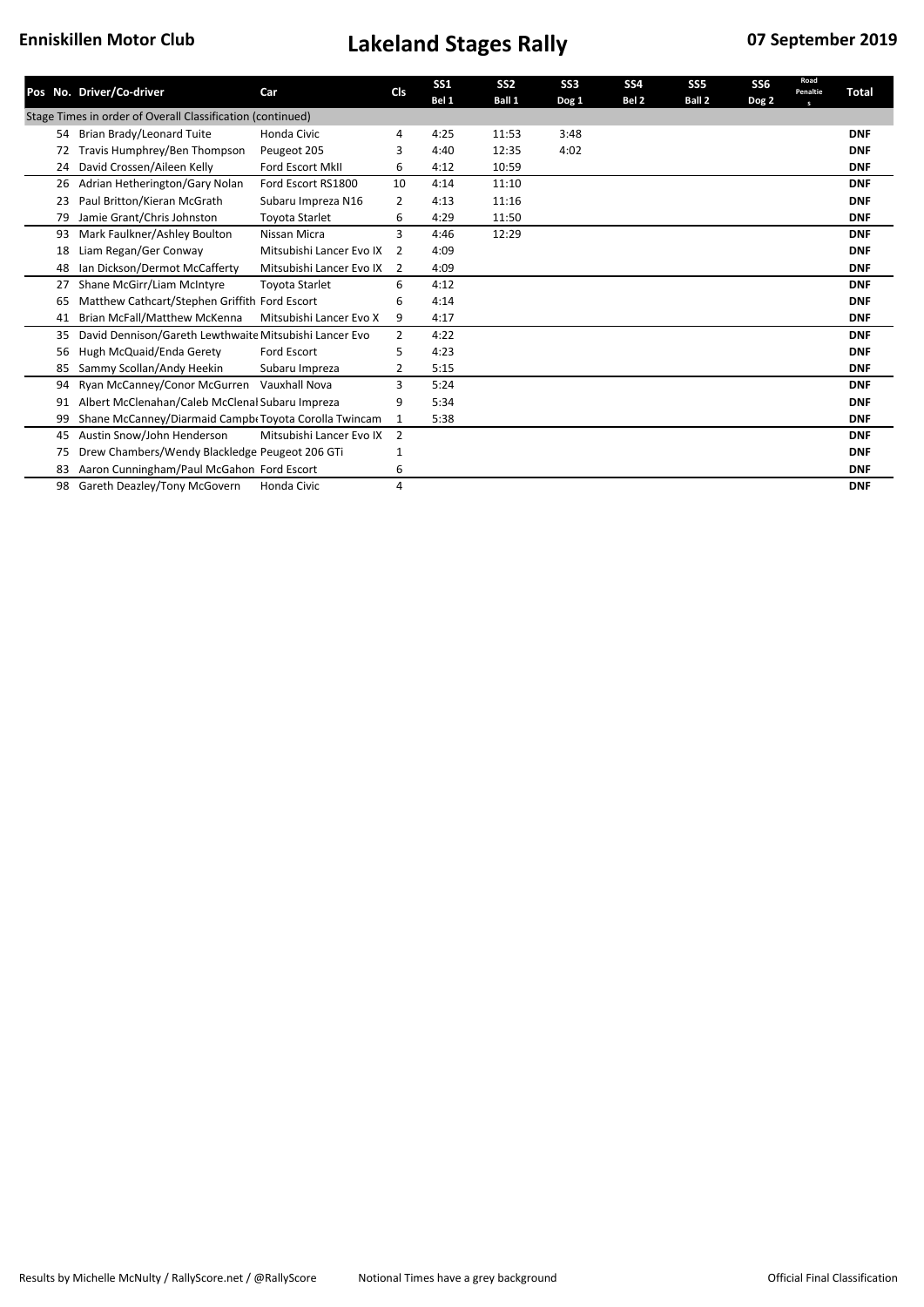|    | Pos No. Driver/Co-driver                                   | Car                      | <b>CIs</b>     | <b>SS1</b><br>Bel 1 | SS <sub>2</sub><br><b>Ball 1</b> | SS <sub>3</sub><br>Dog 1 | <b>SS4</b><br>Bel 2 | SS <sub>5</sub><br>Ball 2 | SS <sub>6</sub><br>Dog 2 | Road<br>Penaltie<br>$\mathbf{s}$ | Total      |
|----|------------------------------------------------------------|--------------------------|----------------|---------------------|----------------------------------|--------------------------|---------------------|---------------------------|--------------------------|----------------------------------|------------|
|    | Stage Times in order of Overall Classification (continued) |                          |                |                     |                                  |                          |                     |                           |                          |                                  |            |
| 54 | Brian Brady/Leonard Tuite                                  | Honda Civic              | 4              | 4:25                | 11:53                            | 3:48                     |                     |                           |                          |                                  | <b>DNF</b> |
| 72 | Travis Humphrey/Ben Thompson                               | Peugeot 205              | 3              | 4:40                | 12:35                            | 4:02                     |                     |                           |                          |                                  | <b>DNF</b> |
| 24 | David Crossen/Aileen Kelly                                 | <b>Ford Escort MkII</b>  | 6              | 4:12                | 10:59                            |                          |                     |                           |                          |                                  | <b>DNF</b> |
| 26 | Adrian Hetherington/Gary Nolan                             | Ford Escort RS1800       | 10             | 4:14                | 11:10                            |                          |                     |                           |                          |                                  | <b>DNF</b> |
| 23 | Paul Britton/Kieran McGrath                                | Subaru Impreza N16       | 2              | 4:13                | 11:16                            |                          |                     |                           |                          |                                  | <b>DNF</b> |
| 79 | Jamie Grant/Chris Johnston                                 | <b>Toyota Starlet</b>    | 6              | 4:29                | 11:50                            |                          |                     |                           |                          |                                  | <b>DNF</b> |
| 93 | Mark Faulkner/Ashley Boulton                               | Nissan Micra             | 3              | 4:46                | 12:29                            |                          |                     |                           |                          |                                  | <b>DNF</b> |
| 18 | Liam Regan/Ger Conway                                      | Mitsubishi Lancer Evo IX | 2              | 4:09                |                                  |                          |                     |                           |                          |                                  | <b>DNF</b> |
| 48 | Ian Dickson/Dermot McCafferty                              | Mitsubishi Lancer Evo IX | $\overline{2}$ | 4:09                |                                  |                          |                     |                           |                          |                                  | <b>DNF</b> |
| 27 | Shane McGirr/Liam McIntyre                                 | <b>Toyota Starlet</b>    | 6              | 4:12                |                                  |                          |                     |                           |                          |                                  | <b>DNF</b> |
| 65 | Matthew Cathcart/Stephen Griffith Ford Escort              |                          | 6              | 4:14                |                                  |                          |                     |                           |                          |                                  | <b>DNF</b> |
| 41 | <b>Brian McFall/Matthew McKenna</b>                        | Mitsubishi Lancer Evo X  | 9              | 4:17                |                                  |                          |                     |                           |                          |                                  | <b>DNF</b> |
| 35 | David Dennison/Gareth Lewthwaite Mitsubishi Lancer Evo     |                          | $\overline{2}$ | 4:22                |                                  |                          |                     |                           |                          |                                  | <b>DNF</b> |
| 56 | Hugh McQuaid/Enda Gerety                                   | Ford Escort              | 5              | 4:23                |                                  |                          |                     |                           |                          |                                  | <b>DNF</b> |
| 85 | Sammy Scollan/Andy Heekin                                  | Subaru Impreza           | 2              | 5:15                |                                  |                          |                     |                           |                          |                                  | <b>DNF</b> |
| 94 | Ryan McCanney/Conor McGurren                               | Vauxhall Nova            | 3              | 5:24                |                                  |                          |                     |                           |                          |                                  | <b>DNF</b> |
| 91 | Albert McClenahan/Caleb McClenal Subaru Impreza            |                          | 9              | 5:34                |                                  |                          |                     |                           |                          |                                  | <b>DNF</b> |
|    | Shane McCanney/Diarmaid Campbr Toyota Corolla Twincam      |                          | 1              | 5:38                |                                  |                          |                     |                           |                          |                                  | <b>DNF</b> |
| 45 | Austin Snow/John Henderson                                 | Mitsubishi Lancer Evo IX | 2              |                     |                                  |                          |                     |                           |                          |                                  | <b>DNF</b> |
| 75 | Drew Chambers/Wendy Blackledge Peugeot 206 GTi             |                          | 1              |                     |                                  |                          |                     |                           |                          |                                  | <b>DNF</b> |
| 83 | Aaron Cunningham/Paul McGahon Ford Escort                  |                          | 6              |                     |                                  |                          |                     |                           |                          |                                  | <b>DNF</b> |
| 98 | Gareth Deazley/Tony McGovern                               | Honda Civic              | 4              |                     |                                  |                          |                     |                           |                          |                                  | <b>DNF</b> |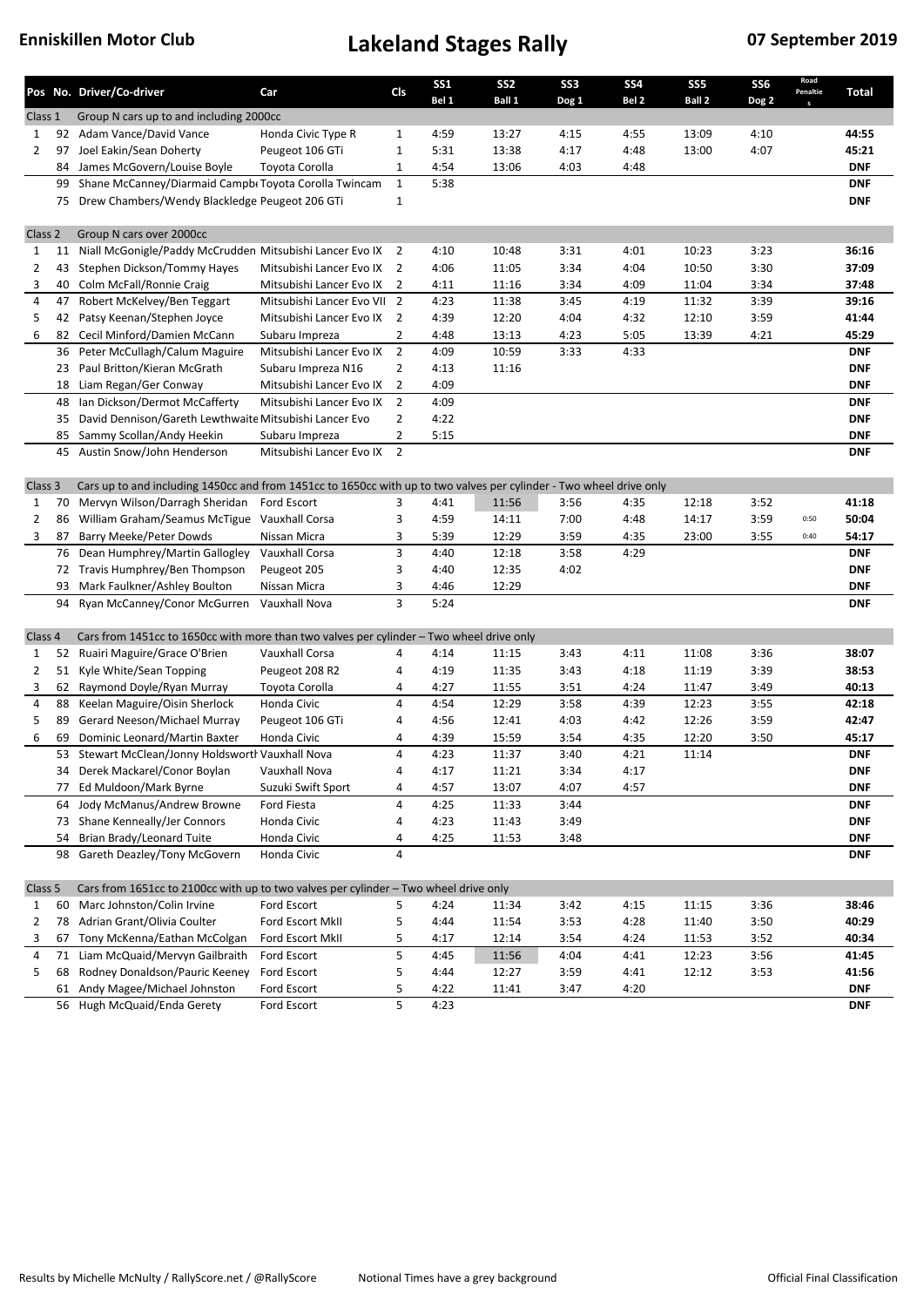|                    |    | Pos No. Driver/Co-driver                                                                                            | Car                         | Cls            | <b>SS1</b><br>Bel 1 | SS <sub>2</sub><br>Ball 1 | SS <sub>3</sub><br>Dog 1 | <b>SS4</b><br>Bel 2 | SS <sub>5</sub><br>Ball 2 | SS <sub>6</sub><br>Dog <sub>2</sub> | Road<br>Penaltie | Total      |
|--------------------|----|---------------------------------------------------------------------------------------------------------------------|-----------------------------|----------------|---------------------|---------------------------|--------------------------|---------------------|---------------------------|-------------------------------------|------------------|------------|
| Class 1            |    | Group N cars up to and including 2000cc                                                                             |                             |                |                     |                           |                          |                     |                           |                                     |                  |            |
| 1                  |    | 92 Adam Vance/David Vance                                                                                           | Honda Civic Type R          | $\mathbf{1}$   | 4:59                | 13:27                     | 4:15                     | 4:55                | 13:09                     | 4:10                                |                  | 44:55      |
| $\overline{2}$     | 97 | Joel Eakin/Sean Doherty                                                                                             | Peugeot 106 GTi             | $\mathbf{1}$   | 5:31                | 13:38                     | 4:17                     | 4:48                | 13:00                     | 4:07                                |                  | 45:21      |
|                    | 84 | James McGovern/Louise Boyle                                                                                         | Toyota Corolla              | 1              | 4:54                | 13:06                     | 4:03                     | 4:48                |                           |                                     |                  | <b>DNF</b> |
|                    | 99 | Shane McCanney/Diarmaid Campb Toyota Corolla Twincam                                                                |                             | $\mathbf{1}$   | 5:38                |                           |                          |                     |                           |                                     |                  | <b>DNF</b> |
|                    |    | 75 Drew Chambers/Wendy Blackledge Peugeot 206 GTi                                                                   |                             | $\mathbf{1}$   |                     |                           |                          |                     |                           |                                     |                  | <b>DNF</b> |
|                    |    |                                                                                                                     |                             |                |                     |                           |                          |                     |                           |                                     |                  |            |
| Class <sub>2</sub> |    | Group N cars over 2000cc                                                                                            |                             |                |                     |                           |                          |                     |                           |                                     |                  |            |
| $\mathbf{1}$       | 11 | Niall McGonigle/Paddy McCrudden Mitsubishi Lancer Evo IX                                                            |                             | $\overline{2}$ | 4:10                | 10:48                     | 3:31                     | 4:01                | 10:23                     | 3:23                                |                  | 36:16      |
| 2                  | 43 | Stephen Dickson/Tommy Hayes                                                                                         | Mitsubishi Lancer Evo IX    | 2              | 4:06                | 11:05                     | 3:34                     | 4:04                | 10:50                     | 3:30                                |                  | 37:09      |
| 3                  | 40 | Colm McFall/Ronnie Craig                                                                                            | Mitsubishi Lancer Evo IX    | 2              | 4:11                | 11:16                     | 3:34                     | 4:09                | 11:04                     | 3:34                                |                  | 37:48      |
| 4                  | 47 | Robert McKelvey/Ben Teggart                                                                                         | Mitsubishi Lancer Evo VII 2 |                | 4:23                | 11:38                     | 3:45                     | 4:19                | 11:32                     | 3:39                                |                  | 39:16      |
| 5                  | 42 | Patsy Keenan/Stephen Joyce                                                                                          | Mitsubishi Lancer Evo IX 2  |                | 4:39                | 12:20                     | 4:04                     | 4:32                | 12:10                     | 3:59                                |                  | 41:44      |
| 6                  | 82 | Cecil Minford/Damien McCann                                                                                         | Subaru Impreza              | 2              | 4:48                | 13:13                     | 4:23                     | 5:05                | 13:39                     | 4:21                                |                  | 45:29      |
|                    | 36 | Peter McCullagh/Calum Maguire                                                                                       | Mitsubishi Lancer Evo IX    | $\overline{2}$ | 4:09                | 10:59                     | 3:33                     | 4:33                |                           |                                     |                  | <b>DNF</b> |
|                    | 23 | Paul Britton/Kieran McGrath                                                                                         | Subaru Impreza N16          | $\overline{2}$ | 4:13                | 11:16                     |                          |                     |                           |                                     |                  | <b>DNF</b> |
|                    | 18 | Liam Regan/Ger Conway                                                                                               | Mitsubishi Lancer Evo IX    | $\overline{2}$ | 4:09                |                           |                          |                     |                           |                                     |                  | <b>DNF</b> |
|                    | 48 | Ian Dickson/Dermot McCafferty                                                                                       | Mitsubishi Lancer Evo IX    | $\overline{2}$ | 4:09                |                           |                          |                     |                           |                                     |                  | <b>DNF</b> |
|                    | 35 | David Dennison/Gareth Lewthwaite Mitsubishi Lancer Evo                                                              |                             | $\overline{2}$ | 4:22                |                           |                          |                     |                           |                                     |                  | <b>DNF</b> |
|                    | 85 | Sammy Scollan/Andy Heekin                                                                                           | Subaru Impreza              | $\overline{2}$ | 5:15                |                           |                          |                     |                           |                                     |                  | <b>DNF</b> |
|                    | 45 | Austin Snow/John Henderson                                                                                          | Mitsubishi Lancer Evo IX    | $\overline{2}$ |                     |                           |                          |                     |                           |                                     |                  | <b>DNF</b> |
|                    |    |                                                                                                                     |                             |                |                     |                           |                          |                     |                           |                                     |                  |            |
| Class 3            |    | Cars up to and including 1450cc and from 1451cc to 1650cc with up to two valves per cylinder - Two wheel drive only |                             |                |                     |                           |                          |                     |                           |                                     |                  |            |
| $\mathbf{1}$       | 70 | Mervyn Wilson/Darragh Sheridan                                                                                      | Ford Escort                 | 3              | 4:41                | 11:56                     | 3:56                     | 4:35                | 12:18                     | 3:52                                |                  | 41:18      |
| $\overline{2}$     | 86 | William Graham/Seamus McTigue                                                                                       | Vauxhall Corsa              | 3              | 4:59                | 14:11                     | 7:00                     | 4:48                | 14:17                     | 3:59                                | 0:50             | 50:04      |
| 3                  | 87 | Barry Meeke/Peter Dowds                                                                                             | Nissan Micra                | 3              | 5:39                | 12:29                     | 3:59                     | 4:35                | 23:00                     | 3:55                                | 0:40             | 54:17      |
|                    | 76 | Dean Humphrey/Martin Gallogley                                                                                      | Vauxhall Corsa              | 3              | 4:40                | 12:18                     | 3:58                     | 4:29                |                           |                                     |                  | <b>DNF</b> |
|                    | 72 | Travis Humphrey/Ben Thompson                                                                                        | Peugeot 205                 | 3              | 4:40                | 12:35                     | 4:02                     |                     |                           |                                     |                  | <b>DNF</b> |
|                    | 93 | Mark Faulkner/Ashley Boulton                                                                                        | Nissan Micra                | 3              | 4:46                | 12:29                     |                          |                     |                           |                                     |                  | <b>DNF</b> |
|                    | 94 | Ryan McCanney/Conor McGurren                                                                                        | Vauxhall Nova               | 3              | 5:24                |                           |                          |                     |                           |                                     |                  | <b>DNF</b> |
|                    |    |                                                                                                                     |                             |                |                     |                           |                          |                     |                           |                                     |                  |            |
| Class 4            |    | Cars from 1451cc to 1650cc with more than two valves per cylinder - Two wheel drive only                            |                             |                |                     |                           |                          |                     |                           |                                     |                  |            |
| $\mathbf{1}$       | 52 | Ruairi Maguire/Grace O'Brien                                                                                        | Vauxhall Corsa              | 4              | 4:14                | 11:15                     | 3:43                     | 4:11                | 11:08                     | 3:36                                |                  | 38:07      |
| $\overline{2}$     | 51 | Kyle White/Sean Topping                                                                                             | Peugeot 208 R2              | 4              | 4:19                | 11:35                     | 3:43                     | 4:18                | 11:19                     | 3:39                                |                  | 38:53      |
| 3                  | 62 | Raymond Doyle/Ryan Murray                                                                                           | Toyota Corolla              | 4              | 4:27                | 11:55                     | 3:51                     | 4:24                | 11:47                     | 3:49                                |                  | 40:13      |
| 4                  | 88 | Keelan Maguire/Oisin Sherlock                                                                                       | Honda Civic                 | 4              | 4:54                | 12:29                     | 3:58                     | 4:39                | 12:23                     | 3:55                                |                  | 42:18      |
| 5                  | 89 | Gerard Neeson/Michael Murray                                                                                        | Peugeot 106 GTi             | 4              | 4:56                | 12:41                     | 4:03                     | 4:42                | 12:26                     | 3:59                                |                  | 42:47      |
| 6                  | 69 | Dominic Leonard/Martin Baxter                                                                                       | Honda Civic                 | 4              | 4:39                | 15:59                     | 3:54                     | 4:35                | 12:20                     | 3:50                                |                  | 45:17      |
|                    |    | 53 Stewart McClean/Jonny Holdsworth Vauxhall Nova                                                                   |                             | 4              | 4:23                | 11:37                     | 3:40                     | 4:21                | 11:14                     |                                     |                  | <b>DNF</b> |
|                    |    | 34 Derek Mackarel/Conor Boylan                                                                                      | Vauxhall Nova               | 4              | 4:17                | 11:21                     | 3:34                     | 4:17                |                           |                                     |                  | <b>DNF</b> |
|                    |    | 77 Ed Muldoon/Mark Byrne                                                                                            | Suzuki Swift Sport          | 4              | 4:57                | 13:07                     | 4:07                     | 4:57                |                           |                                     |                  | <b>DNF</b> |
|                    |    | 64 Jody McManus/Andrew Browne                                                                                       | Ford Fiesta                 | 4              | 4:25                | 11:33                     | 3:44                     |                     |                           |                                     |                  | <b>DNF</b> |
|                    | 73 | Shane Kenneally/Jer Connors                                                                                         | Honda Civic                 | 4              | 4:23                | 11:43                     | 3:49                     |                     |                           |                                     |                  | <b>DNF</b> |
|                    | 54 | Brian Brady/Leonard Tuite                                                                                           | Honda Civic                 | 4              | 4:25                | 11:53                     | 3:48                     |                     |                           |                                     |                  | <b>DNF</b> |
|                    |    | 98 Gareth Deazley/Tony McGovern                                                                                     | Honda Civic                 | 4              |                     |                           |                          |                     |                           |                                     |                  | <b>DNF</b> |
|                    |    |                                                                                                                     |                             |                |                     |                           |                          |                     |                           |                                     |                  |            |
| Class 5            |    | Cars from 1651cc to 2100cc with up to two valves per cylinder – Two wheel drive only                                |                             |                |                     |                           |                          |                     |                           |                                     |                  |            |
| $\mathbf{1}$       | 60 | Marc Johnston/Colin Irvine                                                                                          | Ford Escort                 | 5              | 4:24                | 11:34                     | 3:42                     | 4:15                | 11:15                     | 3:36                                |                  | 38:46      |
| 2                  | 78 | Adrian Grant/Olivia Coulter                                                                                         | Ford Escort MkII            | 5              | 4:44                | 11:54                     | 3:53                     | 4:28                | 11:40                     | 3:50                                |                  | 40:29      |
| 3                  | 67 | Tony McKenna/Eathan McColgan                                                                                        | Ford Escort MkII            | 5              | 4:17                | 12:14                     | 3:54                     | 4:24                | 11:53                     | 3:52                                |                  | 40:34      |
| 4                  |    | 71 Liam McQuaid/Mervyn Gailbraith                                                                                   | Ford Escort                 | 5              | 4:45                | 11:56                     | 4:04                     | 4:41                | 12:23                     | 3:56                                |                  | 41:45      |
| 5                  | 68 | Rodney Donaldson/Pauric Keeney                                                                                      | Ford Escort                 | 5              | 4:44                | 12:27                     | 3:59                     | 4:41                | 12:12                     | 3:53                                |                  | 41:56      |
|                    | 61 | Andy Magee/Michael Johnston                                                                                         | Ford Escort                 | 5              | 4:22                | 11:41                     | 3:47                     | 4:20                |                           |                                     |                  | <b>DNF</b> |
|                    |    | 56 Hugh McQuaid/Enda Gerety                                                                                         | Ford Escort                 | 5              | 4:23                |                           |                          |                     |                           |                                     |                  | <b>DNF</b> |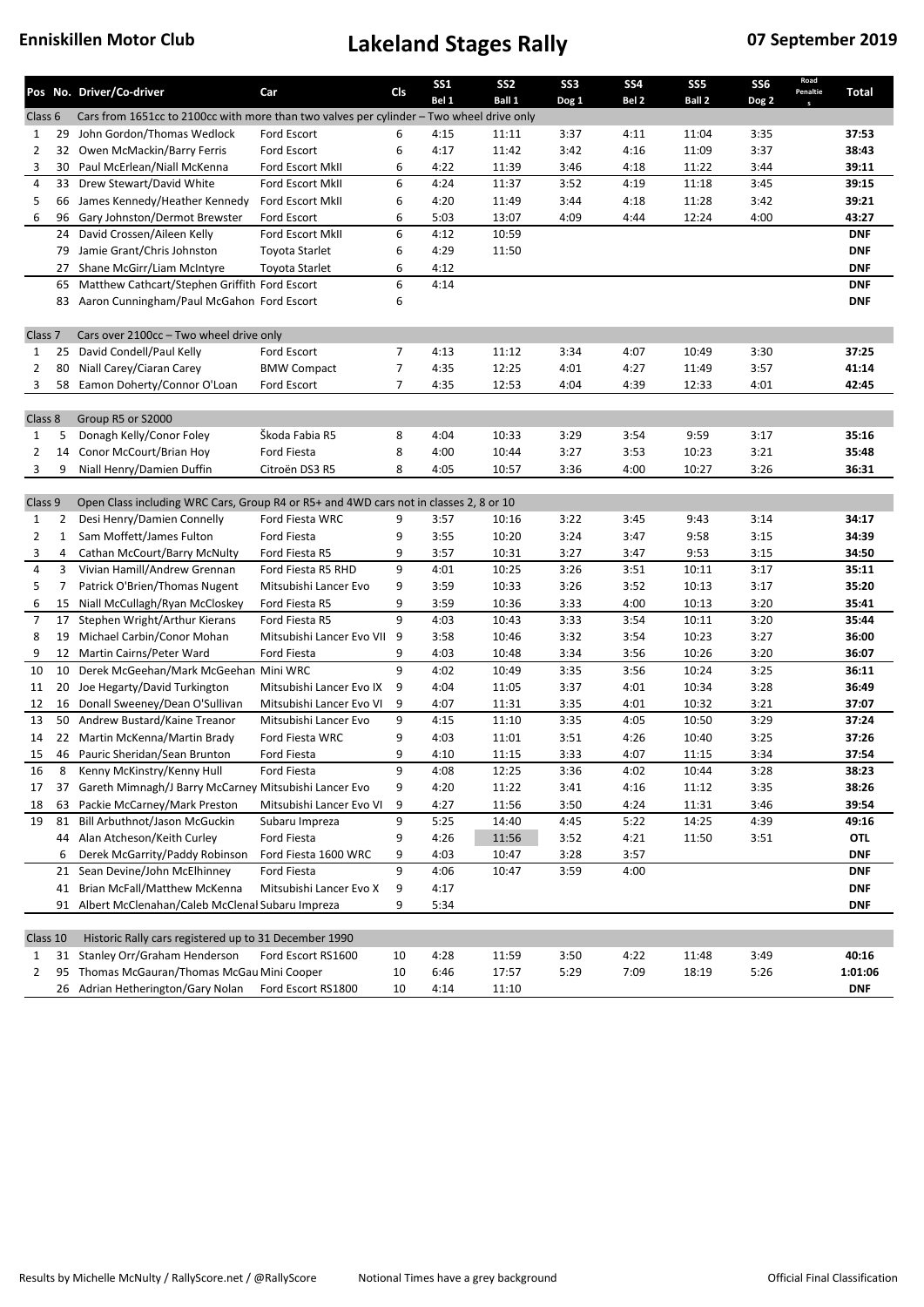|                    |                | Pos No. Driver/Co-driver                                                                                            | Car                            | Cls            | SS <sub>1</sub><br>Bel 1 | SS <sub>2</sub><br>Ball 1 | SS <sub>3</sub><br>Dog 1 | <b>SS4</b><br>Bel <sub>2</sub> | SS <sub>5</sub><br>Ball 2 | SS <sub>6</sub><br>Dog 2 | Road<br>Penaltie | Total          |
|--------------------|----------------|---------------------------------------------------------------------------------------------------------------------|--------------------------------|----------------|--------------------------|---------------------------|--------------------------|--------------------------------|---------------------------|--------------------------|------------------|----------------|
| Class 6            |                | Cars from 1651cc to 2100cc with more than two valves per cylinder – Two wheel drive only                            |                                |                |                          |                           |                          |                                |                           |                          |                  |                |
| $\mathbf{1}$       | 29             | John Gordon/Thomas Wedlock                                                                                          | Ford Escort                    | 6              | 4:15                     | 11:11                     | 3:37                     | 4:11                           | 11:04                     | 3:35                     |                  | 37:53          |
| $\overline{2}$     | 32             | Owen McMackin/Barry Ferris                                                                                          | Ford Escort                    | 6              | 4:17                     | 11:42                     | 3:42                     | 4:16                           | 11:09                     | 3:37                     |                  | 38:43          |
| 3                  | 30             | Paul McErlean/Niall McKenna                                                                                         | Ford Escort MkII               | 6              | 4:22                     | 11:39                     | 3:46                     | 4:18                           | 11:22                     | 3:44                     |                  | 39:11          |
| 4                  | 33             | Drew Stewart/David White                                                                                            | Ford Escort MkII               | 6              | 4:24                     | 11:37                     | 3:52                     | 4:19                           | 11:18                     | 3:45                     |                  | 39:15          |
| 5                  | 66             | James Kennedy/Heather Kennedy                                                                                       | Ford Escort MkII               | 6              | 4:20                     | 11:49                     | 3:44                     | 4:18                           | 11:28                     | 3:42                     |                  | 39:21          |
| 6                  | 96             | Gary Johnston/Dermot Brewster                                                                                       | Ford Escort                    | 6              | 5:03                     | 13:07                     | 4:09                     | 4:44                           | 12:24                     | 4:00                     |                  | 43:27          |
|                    | 24             | David Crossen/Aileen Kelly                                                                                          | Ford Escort MkII               | 6              | 4:12                     | 10:59                     |                          |                                |                           |                          |                  | <b>DNF</b>     |
|                    | 79             | Jamie Grant/Chris Johnston                                                                                          | <b>Toyota Starlet</b>          | 6              | 4:29                     | 11:50                     |                          |                                |                           |                          |                  | <b>DNF</b>     |
|                    | 27             | Shane McGirr/Liam McIntyre                                                                                          | Toyota Starlet                 | 6              | 4:12                     |                           |                          |                                |                           |                          |                  | <b>DNF</b>     |
|                    | 65             | Matthew Cathcart/Stephen Griffith Ford Escort                                                                       |                                | 6              | 4:14                     |                           |                          |                                |                           |                          |                  | <b>DNF</b>     |
|                    | 83             | Aaron Cunningham/Paul McGahon Ford Escort                                                                           |                                | 6              |                          |                           |                          |                                |                           |                          |                  | <b>DNF</b>     |
|                    |                |                                                                                                                     |                                |                |                          |                           |                          |                                |                           |                          |                  |                |
| Class <sub>7</sub> |                | Cars over 2100cc - Two wheel drive only                                                                             |                                |                |                          |                           |                          |                                |                           |                          |                  |                |
| $\mathbf{1}$       | 25             | David Condell/Paul Kelly                                                                                            | Ford Escort                    | $\overline{7}$ | 4:13                     | 11:12                     | 3:34                     | 4:07                           | 10:49                     | 3:30                     |                  | 37:25          |
| $\overline{2}$     | 80             | Niall Carey/Ciaran Carey                                                                                            | <b>BMW Compact</b>             | 7              | 4:35                     | 12:25                     | 4:01                     | 4:27                           | 11:49                     | 3:57                     |                  | 41:14          |
| 3                  | 58             | Eamon Doherty/Connor O'Loan                                                                                         | Ford Escort                    | $\overline{7}$ | 4:35                     | 12:53                     | 4:04                     | 4:39                           | 12:33                     | 4:01                     |                  | 42:45          |
|                    |                |                                                                                                                     |                                |                |                          |                           |                          |                                |                           |                          |                  |                |
| Class 8            |                | Group R5 or S2000                                                                                                   |                                |                |                          |                           |                          |                                |                           |                          |                  |                |
| $\mathbf{1}$       | 5              | Donagh Kelly/Conor Foley                                                                                            | Škoda Fabia R5                 | 8              | 4:04                     | 10:33                     | 3:29                     | 3:54                           | 9:59                      | 3:17                     |                  | 35:16          |
| 2                  | 14             | Conor McCourt/Brian Hoy                                                                                             | Ford Fiesta                    | 8              | 4:00                     | 10:44                     | 3:27                     | 3:53                           | 10:23                     | 3:21                     |                  | 35:48          |
| 3                  | 9              | Niall Henry/Damien Duffin                                                                                           | Citroën DS3 R5                 | 8              | 4:05                     | 10:57                     | 3:36                     | 4:00                           | 10:27                     | 3:26                     |                  | 36:31          |
|                    |                |                                                                                                                     |                                |                |                          |                           |                          |                                |                           |                          |                  |                |
| Class 9            |                | Open Class including WRC Cars, Group R4 or R5+ and 4WD cars not in classes 2, 8 or 10<br>Desi Henry/Damien Connelly |                                |                |                          |                           |                          |                                |                           |                          |                  |                |
| $\mathbf{1}$       | 2<br>1         | Sam Moffett/James Fulton                                                                                            | Ford Fiesta WRC<br>Ford Fiesta | 9<br>9         | 3:57<br>3:55             | 10:16<br>10:20            | 3:22<br>3:24             | 3:45<br>3:47                   | 9:43<br>9:58              | 3:14<br>3:15             |                  | 34:17<br>34:39 |
| 2<br>3             | 4              | Cathan McCourt/Barry McNulty                                                                                        | Ford Fiesta R5                 | 9              | 3:57                     | 10:31                     | 3:27                     | 3:47                           | 9:53                      | 3:15                     |                  | 34:50          |
| 4                  | 3              | Vivian Hamill/Andrew Grennan                                                                                        | Ford Fiesta R5 RHD             | 9              | 4:01                     | 10:25                     | 3:26                     | 3:51                           | 10:11                     | 3:17                     |                  | 35:11          |
| 5                  | $\overline{7}$ | Patrick O'Brien/Thomas Nugent                                                                                       | Mitsubishi Lancer Evo          | 9              | 3:59                     | 10:33                     | 3:26                     | 3:52                           | 10:13                     | 3:17                     |                  | 35:20          |
| 6                  | 15             | Niall McCullagh/Ryan McCloskey                                                                                      | Ford Fiesta R5                 | 9              | 3:59                     | 10:36                     | 3:33                     | 4:00                           | 10:13                     | 3:20                     |                  | 35:41          |
| 7                  | 17             | Stephen Wright/Arthur Kierans                                                                                       | Ford Fiesta R5                 | 9              | 4:03                     | 10:43                     | 3:33                     | 3:54                           | 10:11                     | 3:20                     |                  | 35:44          |
| 8                  | 19             | Michael Carbin/Conor Mohan                                                                                          | Mitsubishi Lancer Evo VII 9    |                | 3:58                     | 10:46                     | 3:32                     | 3:54                           | 10:23                     | 3:27                     |                  | 36:00          |
| 9                  | 12             | Martin Cairns/Peter Ward                                                                                            | Ford Fiesta                    | 9              | 4:03                     | 10:48                     | 3:34                     | 3:56                           | 10:26                     | 3:20                     |                  | 36:07          |
| 10                 | 10             | Derek McGeehan/Mark McGeehan Mini WRC                                                                               |                                | 9              | 4:02                     | 10:49                     | 3:35                     | 3:56                           | 10:24                     | 3:25                     |                  | 36:11          |
| 11                 | 20             | Joe Hegarty/David Turkington                                                                                        | Mitsubishi Lancer Evo IX       | 9              | 4:04                     | 11:05                     | 3:37                     | 4:01                           | 10:34                     | 3:28                     |                  | 36:49          |
| 12                 | 16             | Donall Sweeney/Dean O'Sullivan                                                                                      | Mitsubishi Lancer Evo VI       | 9              | 4:07                     | 11:31                     | 3:35                     | 4:01                           | 10:32                     | 3:21                     |                  | 37:07          |
| 13                 | 50             | Andrew Bustard/Kaine Treanor                                                                                        | Mitsubishi Lancer Evo          | 9              | 4:15                     | 11:10                     | 3:35                     | 4:05                           | 10:50                     | 3:29                     |                  | 37:24          |
| 14                 |                | 22 Martin McKenna/Martin Brady                                                                                      | Ford Fiesta WRC                | 9              | 4:03                     | 11:01                     | 3:51                     | 4:26                           | 10:40                     | 3:25                     |                  | 37:26          |
| 15                 | 46             | Pauric Sheridan/Sean Brunton                                                                                        | Ford Fiesta                    | 9              | 4:10                     | 11:15                     | 3:33                     | 4:07                           | 11:15                     | 3:34                     |                  | 37:54          |
| 16                 | 8              | Kenny McKinstry/Kenny Hull                                                                                          | Ford Fiesta                    | q              | 4:08                     | 12:25                     | 3:36                     | 4:02                           | 10:44                     | 3:28                     |                  | 38:23          |
| 17                 |                | 37 Gareth Mimnagh/J Barry McCarney Mitsubishi Lancer Evo                                                            |                                | 9              | 4:20                     | 11:22                     | 3:41                     | 4:16                           | 11:12                     | 3:35                     |                  | 38:26          |
| 18                 | 63             | Packie McCarney/Mark Preston                                                                                        | Mitsubishi Lancer Evo VI       | 9              | 4:27                     | 11:56                     | 3:50                     | 4:24                           | 11:31                     | 3:46                     |                  | 39:54          |
| 19                 |                | 81 Bill Arbuthnot/Jason McGuckin                                                                                    | Subaru Impreza                 | 9              | 5:25                     | 14:40                     | 4:45                     | 5:22                           | 14:25                     | 4:39                     |                  | 49:16          |
|                    |                | 44 Alan Atcheson/Keith Curley                                                                                       | Ford Fiesta                    | 9              | 4:26                     | 11:56                     | 3:52                     | 4:21                           | 11:50                     | 3:51                     |                  | OTL            |
|                    | 6              | Derek McGarrity/Paddy Robinson                                                                                      | Ford Fiesta 1600 WRC           | 9              | 4:03                     | 10:47                     | 3:28                     | 3:57                           |                           |                          |                  | <b>DNF</b>     |
|                    |                | 21 Sean Devine/John McElhinney                                                                                      | Ford Fiesta                    | 9              | 4:06                     | 10:47                     | 3:59                     | 4:00                           |                           |                          |                  | <b>DNF</b>     |
|                    | 41             | Brian McFall/Matthew McKenna                                                                                        | Mitsubishi Lancer Evo X        | 9              | 4:17                     |                           |                          |                                |                           |                          |                  | <b>DNF</b>     |
|                    |                | 91 Albert McClenahan/Caleb McClenal Subaru Impreza                                                                  |                                | 9              | 5:34                     |                           |                          |                                |                           |                          |                  | <b>DNF</b>     |
|                    |                |                                                                                                                     |                                |                |                          |                           |                          |                                |                           |                          |                  |                |
| Class 10           |                | Historic Rally cars registered up to 31 December 1990                                                               |                                |                |                          |                           |                          |                                |                           |                          |                  |                |
| $\mathbf{1}$       | 31             | Stanley Orr/Graham Henderson                                                                                        | Ford Escort RS1600             | 10             | 4:28                     | 11:59                     | 3:50                     | 4:22                           | 11:48                     | 3:49                     |                  | 40:16          |
| 2                  | 95             | Thomas McGauran/Thomas McGau Mini Cooper                                                                            |                                | 10             | 6:46                     | 17:57                     | 5:29                     | 7:09                           | 18:19                     | 5:26                     |                  | 1:01:06        |
|                    | 26             | Adrian Hetherington/Gary Nolan                                                                                      | Ford Escort RS1800             | 10             | 4:14                     | 11:10                     |                          |                                |                           |                          |                  | <b>DNF</b>     |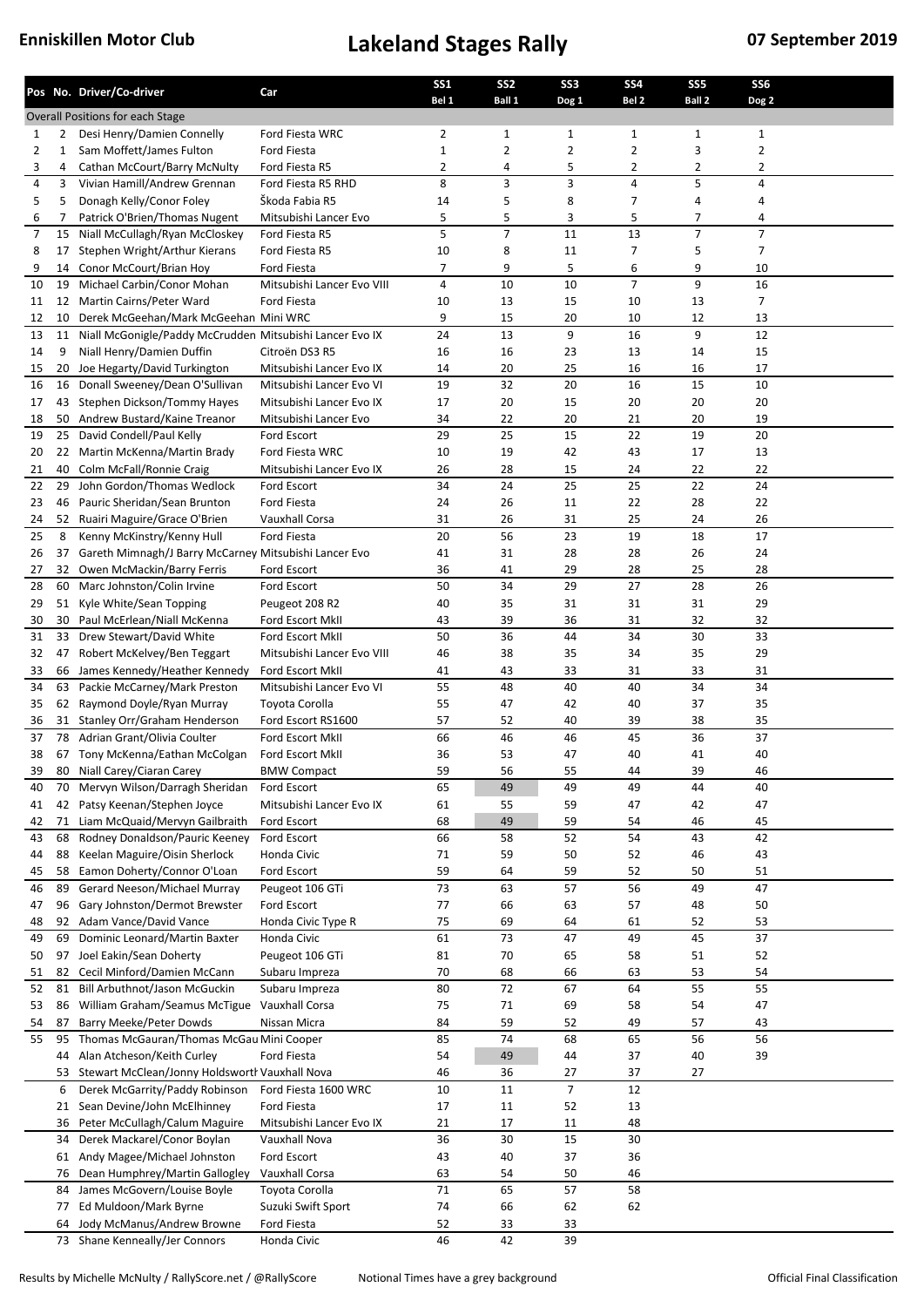|                |              | Pos No. Driver/Co-driver                                                                          | Car                                | SS <sub>1</sub> | SS <sub>2</sub> | SS <sub>3</sub>      | <b>SS4</b>       | SS <sub>5</sub><br>Ball 2 | SS <sub>6</sub> |  |
|----------------|--------------|---------------------------------------------------------------------------------------------------|------------------------------------|-----------------|-----------------|----------------------|------------------|---------------------------|-----------------|--|
|                |              | Overall Positions for each Stage                                                                  |                                    | Bel 1           | Ball 1          | Dog 1                | Bel <sub>2</sub> |                           | Dog 2           |  |
| 1              | 2            | Desi Henry/Damien Connelly                                                                        | Ford Fiesta WRC                    | 2               | 1               | 1                    | 1                | 1                         | $\mathbf{1}$    |  |
| $\overline{2}$ | $\mathbf{1}$ | Sam Moffett/James Fulton                                                                          | <b>Ford Fiesta</b>                 | $\mathbf{1}$    | 2               | $\overline{2}$       | 2                | 3                         | $\overline{2}$  |  |
| 3              | 4            | Cathan McCourt/Barry McNulty                                                                      | Ford Fiesta R5                     | 2               | 4               | 5                    | 2                | 2                         | 2               |  |
| 4              | 3            | Vivian Hamill/Andrew Grennan                                                                      | Ford Fiesta R5 RHD                 | 8               | 3               | 3                    | $\sqrt{4}$       | 5                         | 4               |  |
| 5              | 5            | Donagh Kelly/Conor Foley                                                                          | Škoda Fabia R5                     | 14              | 5               | 8                    | 7                | 4                         | 4               |  |
| 6              | 7            | Patrick O'Brien/Thomas Nugent                                                                     | Mitsubishi Lancer Evo              | 5               | 5               | 3                    | 5                | 7                         | 4               |  |
| 7              | 15           | Niall McCullagh/Ryan McCloskey                                                                    | Ford Fiesta R5                     | 5               | $\overline{7}$  | 11                   | 13               | $\overline{7}$            | $\overline{7}$  |  |
| 8              | 17           | Stephen Wright/Arthur Kierans                                                                     | Ford Fiesta R5                     | 10              | 8               | 11                   | $\overline{7}$   | 5                         | $\overline{7}$  |  |
| 9              | 14           | Conor McCourt/Brian Hoy                                                                           | <b>Ford Fiesta</b>                 | 7               | 9               | 5                    | 6                | 9                         | 10              |  |
| 10             | 19           | Michael Carbin/Conor Mohan                                                                        | Mitsubishi Lancer Evo VIII         | 4               | 10              | 10                   | $\overline{7}$   | 9                         | 16              |  |
| 11             | 12           | Martin Cairns/Peter Ward                                                                          | Ford Fiesta                        | 10              | 13              | 15                   | 10               | 13                        | 7               |  |
| 12<br>13       | 10<br>11     | Derek McGeehan/Mark McGeehan Mini WRC<br>Niall McGonigle/Paddy McCrudden Mitsubishi Lancer Evo IX |                                    | 9<br>24         | 15<br>13        | 20<br>9              | 10<br>16         | 12<br>9                   | 13<br>12        |  |
| 14             | 9            | Niall Henry/Damien Duffin                                                                         | Citroën DS3 R5                     | 16              | 16              | 23                   | 13               | 14                        | 15              |  |
| 15             | 20           | Joe Hegarty/David Turkington                                                                      | Mitsubishi Lancer Evo IX           | 14              | 20              | 25                   | 16               | 16                        | 17              |  |
| 16             | 16           | Donall Sweeney/Dean O'Sullivan                                                                    | Mitsubishi Lancer Evo VI           | 19              | 32              | 20                   | 16               | 15                        | 10              |  |
| 17             | 43           | Stephen Dickson/Tommy Hayes                                                                       | Mitsubishi Lancer Evo IX           | 17              | 20              | 15                   | 20               | 20                        | 20              |  |
| 18             | 50           | Andrew Bustard/Kaine Treanor                                                                      | Mitsubishi Lancer Evo              | 34              | 22              | 20                   | 21               | 20                        | 19              |  |
| 19             | 25           | David Condell/Paul Kelly                                                                          | Ford Escort                        | 29              | 25              | 15                   | 22               | 19                        | 20              |  |
| 20             |              | 22 Martin McKenna/Martin Brady                                                                    | Ford Fiesta WRC                    | 10              | 19              | 42                   | 43               | 17                        | 13              |  |
| 21             | 40           | Colm McFall/Ronnie Craig                                                                          | Mitsubishi Lancer Evo IX           | 26              | 28              | 15                   | 24               | 22                        | 22              |  |
| 22             | 29           | John Gordon/Thomas Wedlock                                                                        | Ford Escort                        | 34              | 24              | 25                   | 25               | 22                        | 24              |  |
| 23             | 46           | Pauric Sheridan/Sean Brunton                                                                      | Ford Fiesta                        | 24              | 26              | 11                   | 22               | 28                        | 22              |  |
| 24             |              | 52 Ruairi Maguire/Grace O'Brien                                                                   | Vauxhall Corsa                     | 31              | 26              | 31                   | 25               | 24                        | 26              |  |
| 25             | 8            | Kenny McKinstry/Kenny Hull                                                                        | Ford Fiesta                        | 20              | 56              | 23                   | 19               | 18                        | 17              |  |
| 26             | 37           | Gareth Mimnagh/J Barry McCarney Mitsubishi Lancer Evo                                             |                                    | 41              | 31              | 28                   | 28               | 26                        | 24              |  |
| 27             | 32           | Owen McMackin/Barry Ferris                                                                        | Ford Escort                        | 36              | 41              | 29                   | 28               | 25                        | 28              |  |
| 28             |              | 60 Marc Johnston/Colin Irvine                                                                     | Ford Escort                        | 50              | 34              | 29                   | 27               | 28                        | 26              |  |
| 29             | 51<br>30     | Kyle White/Sean Topping<br>Paul McErlean/Niall McKenna                                            | Peugeot 208 R2<br>Ford Escort MkII | 40<br>43        | 35<br>39        | 31<br>36             | 31<br>31         | 31<br>32                  | 29<br>32        |  |
| 30<br>31       | 33           | Drew Stewart/David White                                                                          | Ford Escort MkII                   | 50              | 36              | 44                   | 34               | 30                        | 33              |  |
| 32             | 47           | Robert McKelvey/Ben Teggart                                                                       | Mitsubishi Lancer Evo VIII         | 46              | 38              | 35                   | 34               | 35                        | 29              |  |
| 33             | 66           | James Kennedy/Heather Kennedy                                                                     | Ford Escort MkII                   | 41              | 43              | 33                   | 31               | 33                        | 31              |  |
| 34             | 63           | Packie McCarney/Mark Preston                                                                      | Mitsubishi Lancer Evo VI           | 55              | 48              | 40                   | 40               | 34                        | 34              |  |
| 35             |              | 62 Raymond Doyle/Ryan Murray                                                                      | Toyota Corolla                     | 55              | 47              | 42                   | 40               | 37                        | 35              |  |
| 36             | 31           | Stanley Orr/Graham Henderson                                                                      | Ford Escort RS1600                 | 57              | 52              | 40                   | 39               | 38                        | 35              |  |
| 37             | 78           | Adrian Grant/Olivia Coulter                                                                       | Ford Escort MkII                   | 66              | 46              | 46                   | 45               | 36                        | 37              |  |
| 38             |              | 67 Tony McKenna/Eathan McColgan                                                                   | Ford Escort MkII                   | 36              | 53              | 47                   | 40               | 41                        | 40              |  |
| 39             |              | 80 Niall Carey/Ciaran Carey                                                                       | <b>BMW Compact</b>                 | 59              | 56              | 55                   | 44               | 39                        | 46              |  |
| 40             |              | 70 Mervyn Wilson/Darragh Sheridan                                                                 | Ford Escort                        | 65              | 49              | 49                   | 49               | 44                        | 40              |  |
| 41             | 42           | Patsy Keenan/Stephen Joyce                                                                        | Mitsubishi Lancer Evo IX           | 61              | 55              | 59                   | 47               | 42                        | 47              |  |
| 42             | 71           | Liam McQuaid/Mervyn Gailbraith                                                                    | Ford Escort                        | 68              | 49              | 59                   | 54               | 46                        | 45              |  |
| 43             | 68           | Rodney Donaldson/Pauric Keeney                                                                    | Ford Escort<br>Honda Civic         | 66              | 58              | 52                   | 54               | 43                        | 42              |  |
| 44<br>45       | 88<br>58     | Keelan Maguire/Oisin Sherlock<br>Eamon Doherty/Connor O'Loan                                      | Ford Escort                        | 71<br>59        | 59<br>64        | 50<br>59             | 52<br>52         | 46<br>50                  | 43<br>51        |  |
| 46             | 89           | Gerard Neeson/Michael Murray                                                                      | Peugeot 106 GTi                    | 73              | 63              | 57                   | 56               | 49                        | 47              |  |
| 47             | 96           | Gary Johnston/Dermot Brewster                                                                     | Ford Escort                        | $77 \,$         | 66              | 63                   | 57               | 48                        | 50              |  |
| 48             | 92           | Adam Vance/David Vance                                                                            | Honda Civic Type R                 | 75              | 69              | 64                   | 61               | 52                        | 53              |  |
| 49             | 69           | Dominic Leonard/Martin Baxter                                                                     | Honda Civic                        | 61              | 73              | 47                   | 49               | 45                        | 37              |  |
| 50             | 97           | Joel Eakin/Sean Doherty                                                                           | Peugeot 106 GTi                    | 81              | 70              | 65                   | 58               | 51                        | 52              |  |
| 51             | 82           | Cecil Minford/Damien McCann                                                                       | Subaru Impreza                     | 70              | 68              | 66                   | 63               | 53                        | 54              |  |
| 52             | 81           | Bill Arbuthnot/Jason McGuckin                                                                     | Subaru Impreza                     | 80              | 72              | 67                   | 64               | 55                        | 55              |  |
| 53             | 86           | William Graham/Seamus McTigue                                                                     | Vauxhall Corsa                     | 75              | 71              | 69                   | 58               | 54                        | 47              |  |
| 54             | 87           | Barry Meeke/Peter Dowds                                                                           | Nissan Micra                       | 84              | 59              | 52                   | 49               | 57                        | 43              |  |
| 55             | 95           | Thomas McGauran/Thomas McGau Mini Cooper                                                          |                                    | 85              | 74              | 68                   | 65               | 56                        | 56              |  |
|                | 44           | Alan Atcheson/Keith Curley                                                                        | Ford Fiesta                        | 54              | 49              | 44                   | 37               | 40                        | 39              |  |
|                | 53           | Stewart McClean/Jonny Holdsworth Vauxhall Nova<br>Derek McGarrity/Paddy Robinson                  | Ford Fiesta 1600 WRC               | 46<br>10        | 36<br>11        | 27<br>$\overline{7}$ | 37<br>12         | 27                        |                 |  |
|                | 6<br>21      | Sean Devine/John McElhinney                                                                       | Ford Fiesta                        | 17              | 11              | 52                   | 13               |                           |                 |  |
|                | 36           | Peter McCullagh/Calum Maguire                                                                     | Mitsubishi Lancer Evo IX           | 21              | 17              | 11                   | 48               |                           |                 |  |
|                | 34           | Derek Mackarel/Conor Boylan                                                                       | Vauxhall Nova                      | 36              | 30              | 15                   | 30               |                           |                 |  |
|                | 61           | Andy Magee/Michael Johnston                                                                       | Ford Escort                        | 43              | 40              | 37                   | 36               |                           |                 |  |
|                | 76           | Dean Humphrey/Martin Gallogley                                                                    | Vauxhall Corsa                     | 63              | 54              | 50                   | 46               |                           |                 |  |
|                | 84           | James McGovern/Louise Boyle                                                                       | Toyota Corolla                     | 71              | 65              | 57                   | 58               |                           |                 |  |
|                | 77           | Ed Muldoon/Mark Byrne                                                                             | Suzuki Swift Sport                 | 74              | 66              | 62                   | 62               |                           |                 |  |
|                | 64           | Jody McManus/Andrew Browne                                                                        | Ford Fiesta                        | 52              | 33              | 33                   |                  |                           |                 |  |
|                |              | 73 Shane Kenneally/Jer Connors                                                                    | Honda Civic                        | 46              | 42              | 39                   |                  |                           |                 |  |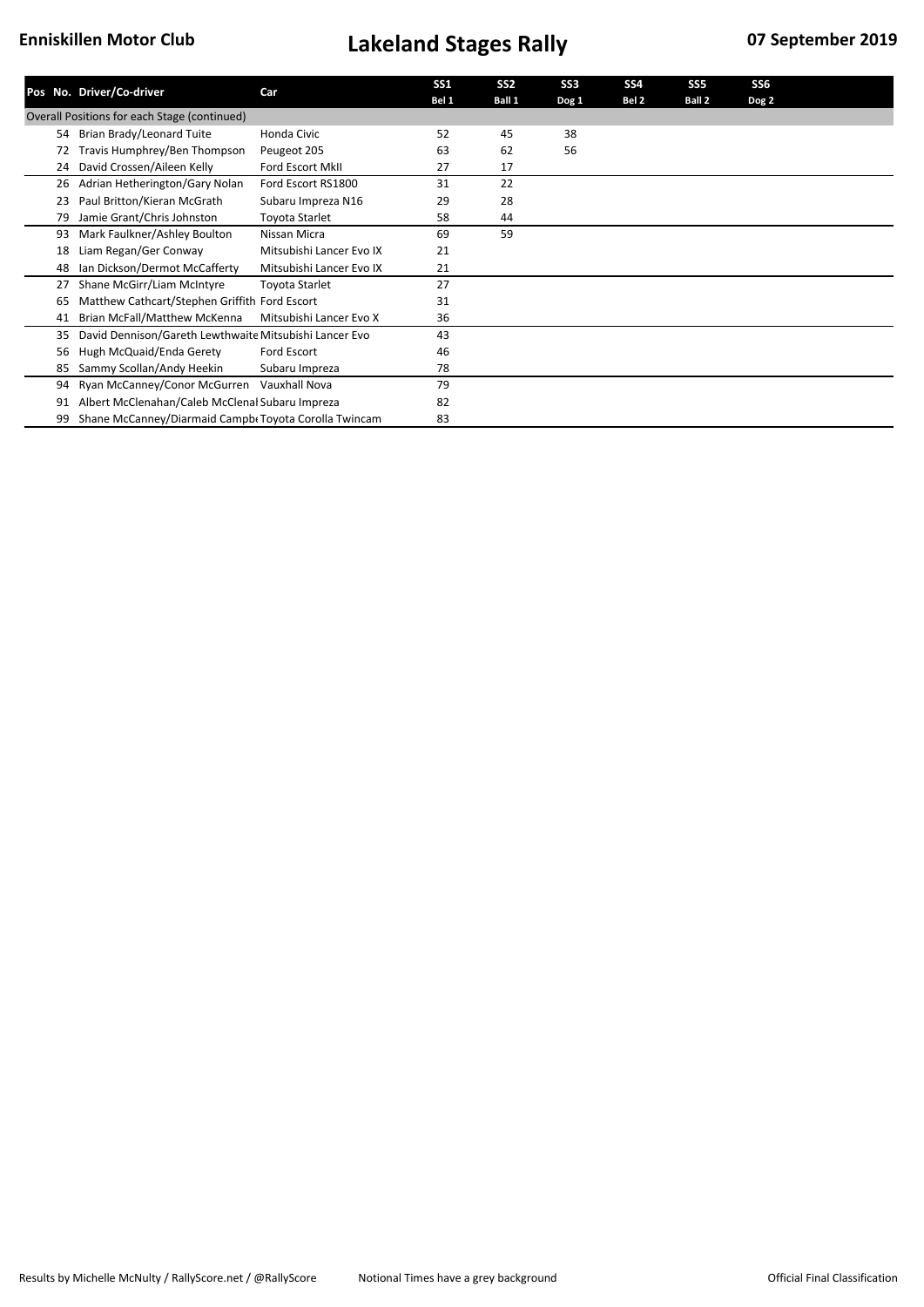|    | Pos No. Driver/Co-driver                               | Car                      | SS <sub>1</sub><br>Bel 1 | SS <sub>2</sub><br>Ball 1 | SS <sub>3</sub><br>Dog 1 | SS <sub>4</sub><br>Bel 2 | SS <sub>5</sub><br>Ball 2 | SS <sub>6</sub><br>Dog 2 |
|----|--------------------------------------------------------|--------------------------|--------------------------|---------------------------|--------------------------|--------------------------|---------------------------|--------------------------|
|    | Overall Positions for each Stage (continued)           |                          |                          |                           |                          |                          |                           |                          |
| 54 | Brian Brady/Leonard Tuite                              | Honda Civic              | 52                       | 45                        | 38                       |                          |                           |                          |
| 72 | Travis Humphrey/Ben Thompson                           | Peugeot 205              | 63                       | 62                        | 56                       |                          |                           |                          |
| 24 | David Crossen/Aileen Kelly                             | <b>Ford Escort MkII</b>  | 27                       | 17                        |                          |                          |                           |                          |
| 26 | Adrian Hetherington/Gary Nolan                         | Ford Escort RS1800       | 31                       | 22                        |                          |                          |                           |                          |
| 23 | Paul Britton/Kieran McGrath                            | Subaru Impreza N16       | 29                       | 28                        |                          |                          |                           |                          |
| 79 | Jamie Grant/Chris Johnston                             | <b>Toyota Starlet</b>    | 58                       | 44                        |                          |                          |                           |                          |
| 93 | Mark Faulkner/Ashley Boulton                           | Nissan Micra             | 69                       | 59                        |                          |                          |                           |                          |
| 18 | Liam Regan/Ger Conway                                  | Mitsubishi Lancer Evo IX | 21                       |                           |                          |                          |                           |                          |
|    | Ian Dickson/Dermot McCafferty                          | Mitsubishi Lancer Evo IX | 21                       |                           |                          |                          |                           |                          |
| 27 | Shane McGirr/Liam McIntyre                             | Toyota Starlet           | 27                       |                           |                          |                          |                           |                          |
| 65 | Matthew Cathcart/Stephen Griffith Ford Escort          |                          | 31                       |                           |                          |                          |                           |                          |
| 41 | Brian McFall/Matthew McKenna                           | Mitsubishi Lancer Evo X  | 36                       |                           |                          |                          |                           |                          |
| 35 | David Dennison/Gareth Lewthwaite Mitsubishi Lancer Evo |                          | 43                       |                           |                          |                          |                           |                          |
| 56 | Hugh McQuaid/Enda Gerety                               | Ford Escort              | 46                       |                           |                          |                          |                           |                          |
| 85 | Sammy Scollan/Andy Heekin                              | Subaru Impreza           | 78                       |                           |                          |                          |                           |                          |
| 94 | Ryan McCanney/Conor McGurren                           | Vauxhall Nova            | 79                       |                           |                          |                          |                           |                          |
| 91 | Albert McClenahan/Caleb McClenal Subaru Impreza        |                          | 82                       |                           |                          |                          |                           |                          |
| 99 | Shane McCanney/Diarmaid Campb Toyota Corolla Twincam   |                          | 83                       |                           |                          |                          |                           |                          |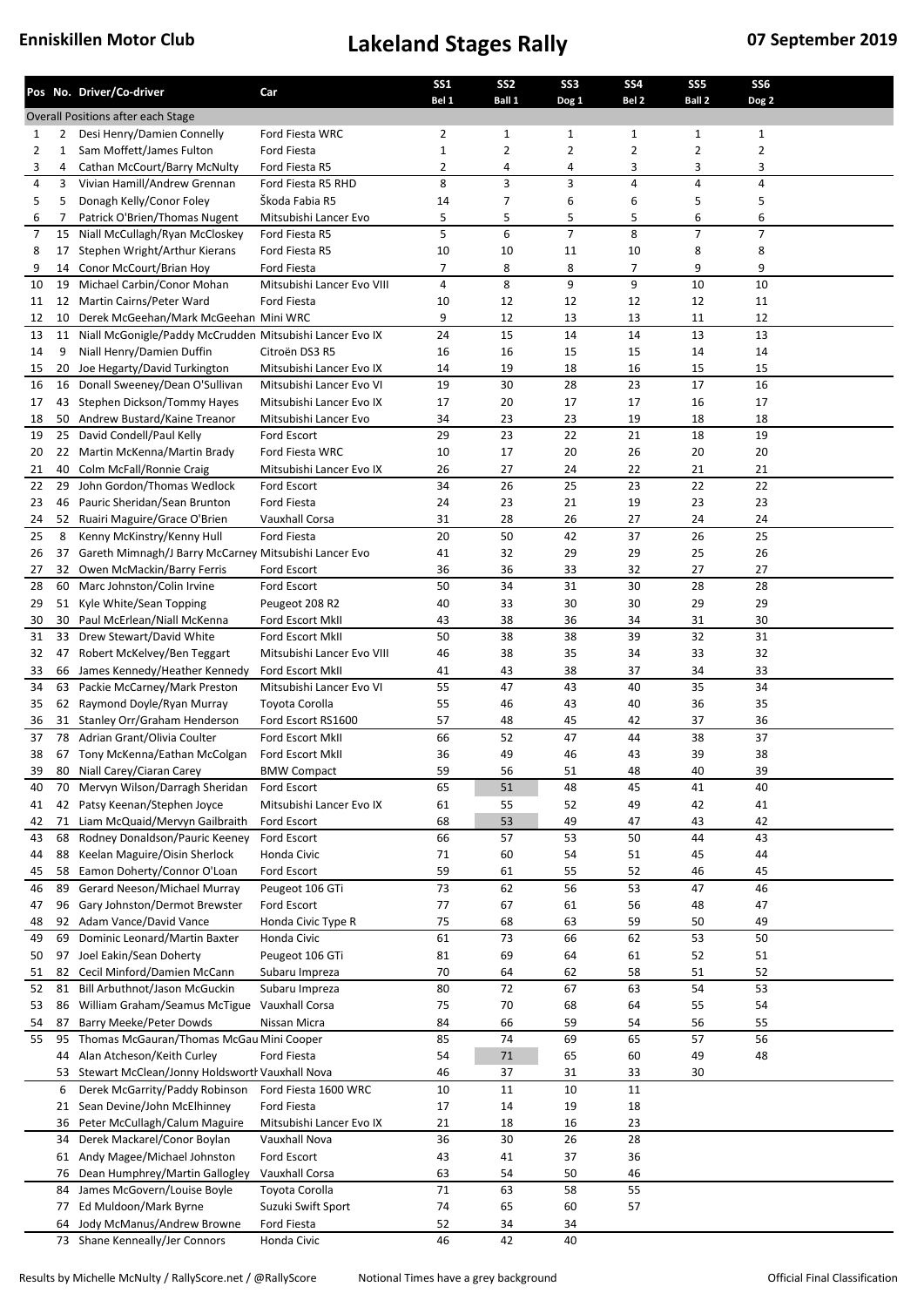|          |          | Pos No. Driver/Co-driver                                      | Car                           | <b>SS1</b><br>Bel 1 | SS <sub>2</sub><br>Ball 1 | SS <sub>3</sub><br>Dog 1 | <b>SS4</b><br>Bel <sub>2</sub> | SS <sub>5</sub><br>Ball 2 | SS <sub>6</sub><br>Dog 2 |  |
|----------|----------|---------------------------------------------------------------|-------------------------------|---------------------|---------------------------|--------------------------|--------------------------------|---------------------------|--------------------------|--|
|          |          | Overall Positions after each Stage                            |                               |                     |                           |                          |                                |                           |                          |  |
| 1        | 2        | Desi Henry/Damien Connelly                                    | Ford Fiesta WRC               | 2                   | 1                         | 1                        | 1                              | 1                         | 1                        |  |
| 2        | 1        | Sam Moffett/James Fulton                                      | Ford Fiesta                   | $\mathbf 1$         | 2                         | 2                        | 2                              | 2                         | 2                        |  |
| 3        | 4        | Cathan McCourt/Barry McNulty                                  | Ford Fiesta R5                | 2                   | 4                         | 4                        | 3                              | 3                         | 3                        |  |
| 4        | 3        | Vivian Hamill/Andrew Grennan                                  | Ford Fiesta R5 RHD            | 8                   | 3                         | 3                        | 4                              | 4                         | 4                        |  |
| 5        | 5        | Donagh Kelly/Conor Foley                                      | Škoda Fabia R5                | 14                  | 7                         | 6                        | 6                              | 5                         | 5                        |  |
| 6        | 7        | Patrick O'Brien/Thomas Nugent                                 | Mitsubishi Lancer Evo         | 5                   | 5                         | 5                        | 5                              | 6                         | 6                        |  |
| 7        | 15       | Niall McCullagh/Ryan McCloskey                                | Ford Fiesta R5                | 5                   | 6                         | $\overline{7}$           | 8                              | 7                         | 7                        |  |
| 8        | 17       | Stephen Wright/Arthur Kierans                                 | Ford Fiesta R5                | 10                  | 10                        | 11                       | 10                             | 8                         | 8                        |  |
| 9        | 14       | Conor McCourt/Brian Hoy                                       | <b>Ford Fiesta</b>            | 7                   | 8                         | 8                        | $\overline{7}$                 | 9                         | 9                        |  |
| 10       | 19       | Michael Carbin/Conor Mohan                                    | Mitsubishi Lancer Evo VIII    | 4                   | 8                         | 9                        | 9                              | 10                        | 10                       |  |
| 11       | 12       | Martin Cairns/Peter Ward                                      | Ford Fiesta                   | 10                  | 12                        | 12                       | 12                             | 12                        | 11                       |  |
| 12       | 10       | Derek McGeehan/Mark McGeehan Mini WRC                         |                               | 9                   | 12                        | 13                       | 13                             | 11                        | 12                       |  |
| 13       | 11       | Niall McGonigle/Paddy McCrudden Mitsubishi Lancer Evo IX      |                               | 24                  | 15                        | 14                       | 14                             | 13                        | 13                       |  |
| 14       | 9        | Niall Henry/Damien Duffin                                     | Citroën DS3 R5                | 16                  | 16                        | 15                       | 15                             | 14                        | 14                       |  |
| 15       | 20       | Joe Hegarty/David Turkington                                  | Mitsubishi Lancer Evo IX      | 14                  | 19                        | 18                       | 16                             | 15                        | 15                       |  |
| 16       | 16       | Donall Sweeney/Dean O'Sullivan                                | Mitsubishi Lancer Evo VI      | 19                  | 30                        | 28                       | 23                             | 17                        | 16                       |  |
| 17       | 43       | Stephen Dickson/Tommy Hayes                                   | Mitsubishi Lancer Evo IX      | 17                  | 20                        | 17                       | 17                             | 16                        | 17                       |  |
| 18       | 50       | Andrew Bustard/Kaine Treanor                                  | Mitsubishi Lancer Evo         | 34                  | 23                        | 23                       | 19                             | 18                        | 18                       |  |
| 19       | 25       | David Condell/Paul Kelly                                      | Ford Escort                   | 29                  | 23                        | 22                       | 21                             | 18                        | 19                       |  |
| 20       |          | 22 Martin McKenna/Martin Brady                                | Ford Fiesta WRC               | 10                  | 17                        | 20                       | 26                             | 20                        | 20                       |  |
| 21       | 40       | Colm McFall/Ronnie Craig                                      | Mitsubishi Lancer Evo IX      | 26                  | 27                        | 24                       | 22                             | 21                        | 21                       |  |
| 22       | 29       | John Gordon/Thomas Wedlock                                    | Ford Escort                   | 34                  | 26                        | 25                       | 23                             | 22                        | 22                       |  |
| 23       | 46       | Pauric Sheridan/Sean Brunton                                  | Ford Fiesta                   | 24                  | 23                        | 21                       | 19                             | 23                        | 23                       |  |
| 24<br>25 | 52<br>8  | Ruairi Maguire/Grace O'Brien<br>Kenny McKinstry/Kenny Hull    | Vauxhall Corsa<br>Ford Fiesta | 31<br>20            | 28<br>50                  | 26<br>42                 | 27<br>37                       | 24<br>26                  | 24<br>25                 |  |
| 26       | 37       | Gareth Mimnagh/J Barry McCarney Mitsubishi Lancer Evo         |                               | 41                  | 32                        | 29                       | 29                             | 25                        | 26                       |  |
| 27       | 32       | Owen McMackin/Barry Ferris                                    | Ford Escort                   | 36                  | 36                        | 33                       | 32                             | 27                        | 27                       |  |
| 28       |          | 60 Marc Johnston/Colin Irvine                                 | Ford Escort                   | 50                  | 34                        | 31                       | 30                             | 28                        | 28                       |  |
| 29       | 51       | Kyle White/Sean Topping                                       | Peugeot 208 R2                | 40                  | 33                        | 30                       | 30                             | 29                        | 29                       |  |
| 30       | 30       | Paul McErlean/Niall McKenna                                   | Ford Escort MkII              | 43                  | 38                        | 36                       | 34                             | 31                        | 30                       |  |
| 31       | 33       | Drew Stewart/David White                                      | Ford Escort MkII              | 50                  | 38                        | 38                       | 39                             | 32                        | 31                       |  |
| 32       | 47       | Robert McKelvey/Ben Teggart                                   | Mitsubishi Lancer Evo VIII    | 46                  | 38                        | 35                       | 34                             | 33                        | 32                       |  |
| 33       | 66       | James Kennedy/Heather Kennedy                                 | Ford Escort MkII              | 41                  | 43                        | 38                       | 37                             | 34                        | 33                       |  |
| 34       | 63       | Packie McCarney/Mark Preston                                  | Mitsubishi Lancer Evo VI      | 55                  | 47                        | 43                       | 40                             | 35                        | 34                       |  |
| 35       |          | 62 Raymond Doyle/Ryan Murray                                  | Toyota Corolla                | 55                  | 46                        | 43                       | 40                             | 36                        | 35                       |  |
| 36       |          | 31 Stanley Orr/Graham Henderson                               | Ford Escort RS1600            | 57                  | 48                        | 45                       | 42                             | 37                        | 36                       |  |
| 37       | 78       | Adrian Grant/Olivia Coulter                                   | Ford Escort MkII              | 66                  | 52                        | 47                       | 44                             | 38                        | 37                       |  |
| 38       |          | 67 Tony McKenna/Eathan McColgan                               | Ford Escort MkII              | 36                  | 49                        | 46                       | 43                             | 39                        | 38                       |  |
| 39       |          | 80 Niall Carey/Ciaran Carey                                   | <b>BMW Compact</b>            | 59                  | 56                        | 51                       | 48                             | 40                        | 39                       |  |
| 40       |          | 70 Mervyn Wilson/Darragh Sheridan                             | Ford Escort                   | 65                  | 51                        | 48                       | 45                             | 41                        | 40                       |  |
| 41       | 42       | Patsy Keenan/Stephen Joyce                                    | Mitsubishi Lancer Evo IX      | 61                  | 55                        | 52                       | 49                             | 42                        | 41                       |  |
| 42       | 71       | Liam McQuaid/Mervyn Gailbraith                                | Ford Escort                   | 68                  | 53                        | 49                       | 47                             | 43                        | 42                       |  |
| 43       | 68       | Rodney Donaldson/Pauric Keeney                                | Ford Escort                   | 66                  | 57                        | 53                       | 50                             | 44                        | 43                       |  |
| 44       | 88       | Keelan Maguire/Oisin Sherlock                                 | Honda Civic                   | 71                  | 60                        | 54                       | 51                             | 45                        | 44                       |  |
| 45       | 58       | Eamon Doherty/Connor O'Loan                                   | Ford Escort                   | 59                  | 61                        | 55                       | 52                             | 46                        | 45                       |  |
| 46       | 89       | Gerard Neeson/Michael Murray                                  | Peugeot 106 GTi               | 73                  | 62                        | 56                       | 53                             | 47                        | 46                       |  |
| 47       | 96       | Gary Johnston/Dermot Brewster                                 | Ford Escort                   | 77                  | 67                        | 61                       | 56                             | 48                        | 47                       |  |
| 48       | 92       | Adam Vance/David Vance                                        | Honda Civic Type R            | 75                  | 68                        | 63                       | 59                             | 50                        | 49                       |  |
| 49       | 69       | Dominic Leonard/Martin Baxter                                 | Honda Civic                   | 61                  | 73                        | 66                       | 62                             | 53                        | 50                       |  |
| 50       | 97       | Joel Eakin/Sean Doherty                                       | Peugeot 106 GTi               | 81                  | 69                        | 64                       | 61                             | 52                        | 51                       |  |
| 51       | 82       | Cecil Minford/Damien McCann                                   | Subaru Impreza                | 70                  | 64                        | 62                       | 58                             | 51                        | 52                       |  |
| 52       | 81       | Bill Arbuthnot/Jason McGuckin                                 | Subaru Impreza                | 80                  | 72                        | 67                       | 63                             | 54                        | 53                       |  |
| 53       | 86       | William Graham/Seamus McTigue                                 | Vauxhall Corsa                | 75                  | 70                        | 68                       | 64                             | 55                        | 54                       |  |
| 54       | 87       | Barry Meeke/Peter Dowds                                       | Nissan Micra                  | 84                  | 66                        | 59                       | 54                             | 56                        | 55                       |  |
| 55       | 95       | Thomas McGauran/Thomas McGau Mini Cooper                      |                               | 85                  | 74                        | 69                       | 65                             | 57                        | 56                       |  |
|          | 44       | Alan Atcheson/Keith Curley                                    | Ford Fiesta                   | 54                  | $71\,$                    | 65                       | 60                             | 49                        | 48                       |  |
|          | 53       | Stewart McClean/Jonny Holdsworth Vauxhall Nova                |                               | 46                  | 37                        | 31                       | 33                             | 30                        |                          |  |
|          | 6        | Derek McGarrity/Paddy Robinson                                | Ford Fiesta 1600 WRC          | 10                  | 11                        | 10                       | 11                             |                           |                          |  |
|          | 21       | Sean Devine/John McElhinney                                   | Ford Fiesta                   | 17                  | 14                        | 19                       | 18                             |                           |                          |  |
|          | 36       | Peter McCullagh/Calum Maguire                                 | Mitsubishi Lancer Evo IX      | 21                  | 18                        | 16                       | 23                             |                           |                          |  |
|          | 34       | Derek Mackarel/Conor Boylan                                   | Vauxhall Nova                 | 36                  | 30                        | 26                       | 28                             |                           |                          |  |
|          | 61<br>76 | Andy Magee/Michael Johnston<br>Dean Humphrey/Martin Gallogley | Ford Escort<br>Vauxhall Corsa | 43<br>63            | 41<br>54                  | 37<br>50                 | 36<br>46                       |                           |                          |  |
|          |          | James McGovern/Louise Boyle                                   | Toyota Corolla                | 71                  | 63                        | 58                       | 55                             |                           |                          |  |
|          | 84<br>77 | Ed Muldoon/Mark Byrne                                         | Suzuki Swift Sport            | 74                  | 65                        | 60                       | 57                             |                           |                          |  |
|          | 64       | Jody McManus/Andrew Browne                                    | Ford Fiesta                   | 52                  | 34                        | 34                       |                                |                           |                          |  |
|          |          | 73 Shane Kenneally/Jer Connors                                | Honda Civic                   | 46                  | 42                        | 40                       |                                |                           |                          |  |
|          |          |                                                               |                               |                     |                           |                          |                                |                           |                          |  |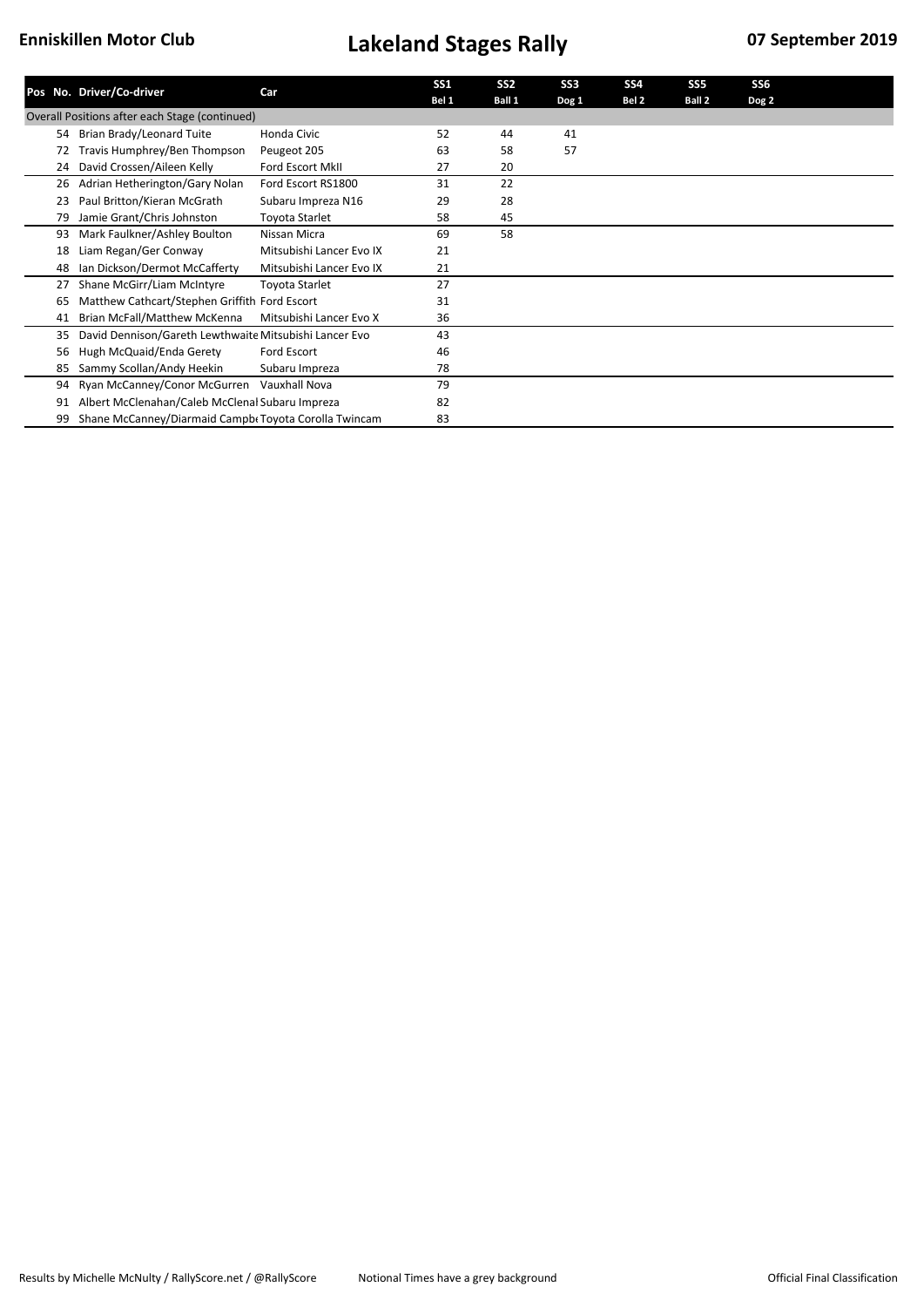|    | Pos No. Driver/Co-driver                               | Car                      | SS <sub>1</sub><br>Bel 1 | SS <sub>2</sub><br>Ball 1 | SS <sub>3</sub><br>Dog 1 | SS <sub>4</sub><br>Bel 2 | SS5<br>Ball 2 | SS6<br>Dog 2 |  |
|----|--------------------------------------------------------|--------------------------|--------------------------|---------------------------|--------------------------|--------------------------|---------------|--------------|--|
|    | Overall Positions after each Stage (continued)         |                          |                          |                           |                          |                          |               |              |  |
| 54 | Brian Brady/Leonard Tuite                              | Honda Civic              | 52                       | 44                        | 41                       |                          |               |              |  |
| 72 | Travis Humphrey/Ben Thompson                           | Peugeot 205              | 63                       | 58                        | 57                       |                          |               |              |  |
| 24 | David Crossen/Aileen Kelly                             | Ford Escort MkII         | 27                       | 20                        |                          |                          |               |              |  |
| 26 | Adrian Hetherington/Gary Nolan                         | Ford Escort RS1800       | 31                       | 22                        |                          |                          |               |              |  |
| 23 | Paul Britton/Kieran McGrath                            | Subaru Impreza N16       | 29                       | 28                        |                          |                          |               |              |  |
| 79 | Jamie Grant/Chris Johnston                             | Toyota Starlet           | 58                       | 45                        |                          |                          |               |              |  |
| 93 | Mark Faulkner/Ashley Boulton                           | Nissan Micra             | 69                       | 58                        |                          |                          |               |              |  |
| 18 | Liam Regan/Ger Conway                                  | Mitsubishi Lancer Evo IX | 21                       |                           |                          |                          |               |              |  |
| 48 | Ian Dickson/Dermot McCafferty                          | Mitsubishi Lancer Evo IX | 21                       |                           |                          |                          |               |              |  |
| 27 | Shane McGirr/Liam McIntyre                             | Toyota Starlet           | 27                       |                           |                          |                          |               |              |  |
| 65 | Matthew Cathcart/Stephen Griffith Ford Escort          |                          | 31                       |                           |                          |                          |               |              |  |
| 41 | Brian McFall/Matthew McKenna                           | Mitsubishi Lancer Evo X  | 36                       |                           |                          |                          |               |              |  |
| 35 | David Dennison/Gareth Lewthwaite Mitsubishi Lancer Evo |                          | 43                       |                           |                          |                          |               |              |  |
| 56 | Hugh McQuaid/Enda Gerety                               | Ford Escort              | 46                       |                           |                          |                          |               |              |  |
| 85 | Sammy Scollan/Andy Heekin                              | Subaru Impreza           | 78                       |                           |                          |                          |               |              |  |
| 94 | Ryan McCanney/Conor McGurren                           | Vauxhall Nova            | 79                       |                           |                          |                          |               |              |  |
| 91 | Albert McClenahan/Caleb McClenal Subaru Impreza        |                          | 82                       |                           |                          |                          |               |              |  |
| 99 | Shane McCanney/Diarmaid Campbe Toyota Corolla Twincam  |                          | 83                       |                           |                          |                          |               |              |  |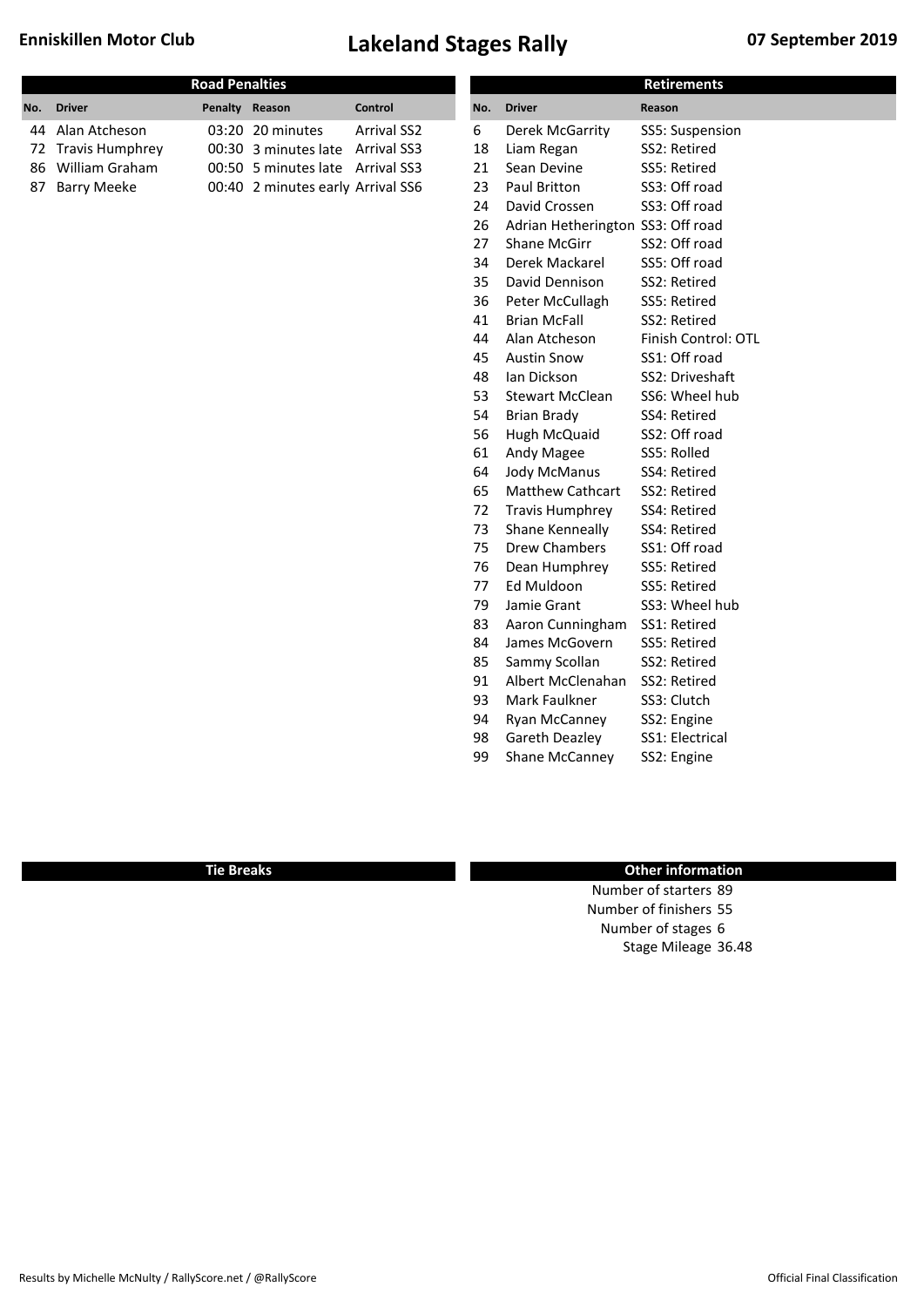|     |                    | <b>Road Penalties</b> |                                   |                    |     |                                   | <b>Retirements</b>  |
|-----|--------------------|-----------------------|-----------------------------------|--------------------|-----|-----------------------------------|---------------------|
| No. | <b>Driver</b>      | Penalty Reason        |                                   | Control            | No. | <b>Driver</b>                     | Reason              |
| 44  | Alan Atcheson      |                       | 03:20 20 minutes                  | <b>Arrival SS2</b> | 6   | Derek McGarrity                   | SS5: Suspension     |
|     | 72 Travis Humphrey |                       | 00:30 3 minutes late              | <b>Arrival SS3</b> | 18  | Liam Regan                        | SS2: Retired        |
| 86  | William Graham     |                       | 00:50 5 minutes late              | <b>Arrival SS3</b> | 21  | Sean Devine                       | SS5: Retired        |
| 87  | <b>Barry Meeke</b> |                       | 00:40 2 minutes early Arrival SS6 |                    | 23  | Paul Britton                      | SS3: Off road       |
|     |                    |                       |                                   |                    | 24  | David Crossen                     | SS3: Off road       |
|     |                    |                       |                                   |                    | 26  | Adrian Hetherington SS3: Off road |                     |
|     |                    |                       |                                   |                    | 27  | <b>Shane McGirr</b>               | SS2: Off road       |
|     |                    |                       |                                   |                    | 34  | Derek Mackarel                    | SS5: Off road       |
|     |                    |                       |                                   |                    | 35  | David Dennison                    | SS2: Retired        |
|     |                    |                       |                                   |                    | 36  | Peter McCullagh                   | SS5: Retired        |
|     |                    |                       |                                   |                    | 41  | <b>Brian McFall</b>               | SS2: Retired        |
|     |                    |                       |                                   |                    | 44  | Alan Atcheson                     | Finish Control: OTL |
|     |                    |                       |                                   |                    | 45  | <b>Austin Snow</b>                | SS1: Off road       |
|     |                    |                       |                                   |                    | 48  | Ian Dickson                       | SS2: Driveshaft     |
|     |                    |                       |                                   |                    | 53  | <b>Stewart McClean</b>            | SS6: Wheel hub      |
|     |                    |                       |                                   |                    | 54  | <b>Brian Brady</b>                | SS4: Retired        |
|     |                    |                       |                                   |                    | 56  | Hugh McQuaid                      | SS2: Off road       |
|     |                    |                       |                                   |                    | 61  | Andy Magee                        | SS5: Rolled         |
|     |                    |                       |                                   |                    | 64  | <b>Jody McManus</b>               | SS4: Retired        |
|     |                    |                       |                                   |                    | 65  | <b>Matthew Cathcart</b>           | SS2: Retired        |
|     |                    |                       |                                   |                    | 72  | <b>Travis Humphrey</b>            | SS4: Retired        |
|     |                    |                       |                                   |                    | 73  | Shane Kenneally                   | SS4: Retired        |
|     |                    |                       |                                   |                    | 75  | <b>Drew Chambers</b>              | SS1: Off road       |
|     |                    |                       |                                   |                    | 76  | Dean Humphrey                     | SS5: Retired        |
|     |                    |                       |                                   |                    | 77  | Ed Muldoon                        | SS5: Retired        |
|     |                    |                       |                                   |                    | 79  | Jamie Grant                       | SS3: Wheel hub      |
|     |                    |                       |                                   |                    | 83  | Aaron Cunningham                  | SS1: Retired        |
|     |                    |                       |                                   |                    | 84  | James McGovern                    | SS5: Retired        |
|     |                    |                       |                                   |                    | 85  | Sammy Scollan                     | SS2: Retired        |
|     |                    |                       |                                   |                    | 91  | Albert McClenahan                 | SS2: Retired        |
|     |                    |                       |                                   |                    | 93  | Mark Faulkner                     | SS3: Clutch         |
|     |                    |                       |                                   |                    | 94  | Ryan McCanney                     | SS2: Engine         |
|     |                    |                       |                                   |                    | 98  | Gareth Deazley                    | SS1: Electrical     |
|     |                    |                       |                                   |                    | 99  | Shane McCanney                    | SS2: Engine         |
|     |                    |                       |                                   |                    |     |                                   |                     |

### **Tie Breaks Other information**

Number of starters 89 Number of finishers 55 Number of stages 6 Stage Mileage 36.48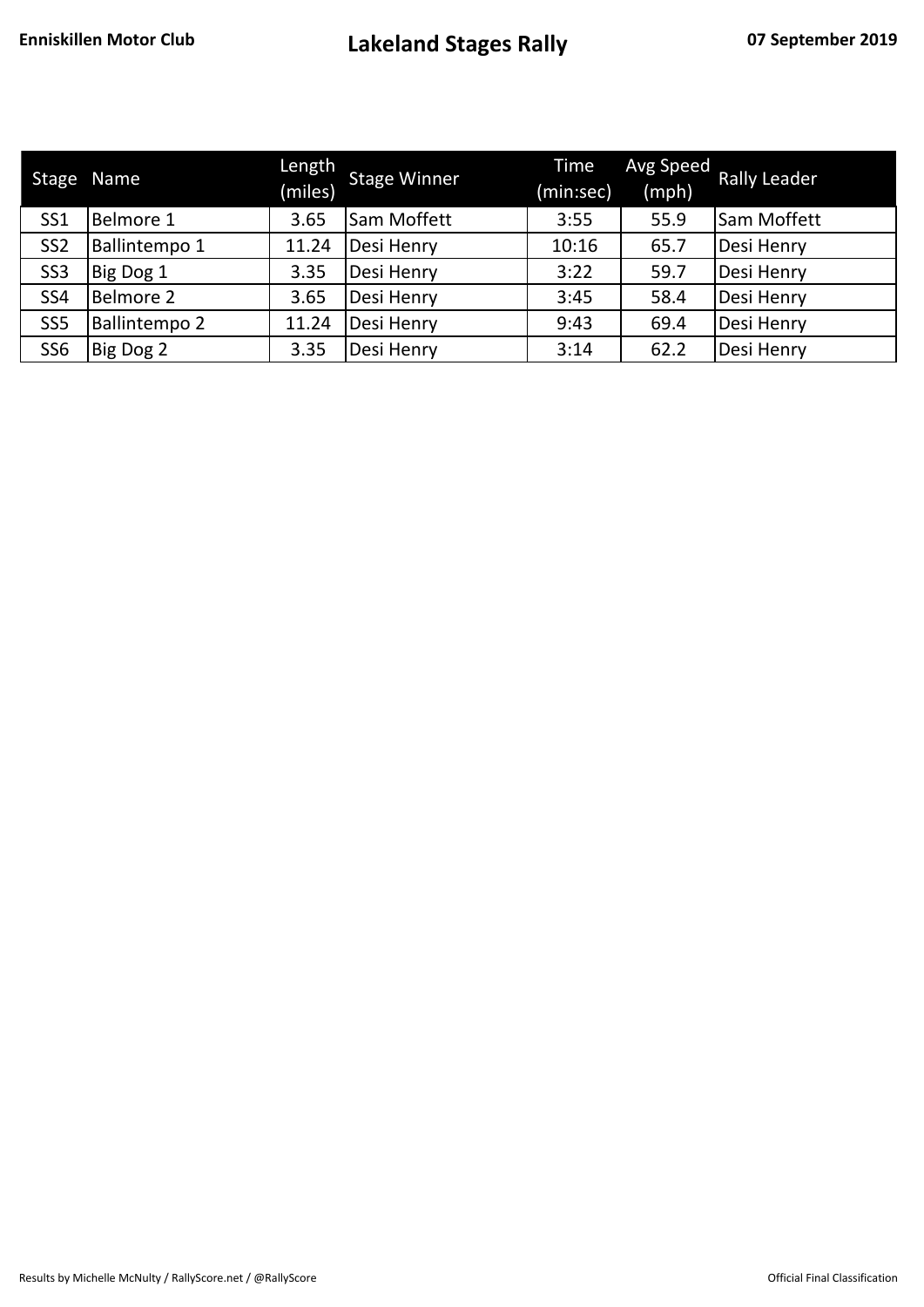| Stage           | Name                 | Length<br>(miles) | <b>Stage Winner</b> | Time<br>(min:sec) | Avg Speed<br>(mph) | <b>Rally Leader</b> |
|-----------------|----------------------|-------------------|---------------------|-------------------|--------------------|---------------------|
| SS <sub>1</sub> | Belmore 1            | 3.65              | Sam Moffett         | 3:55              | 55.9               | <b>Sam Moffett</b>  |
| SS <sub>2</sub> | Ballintempo 1        | 11.24             | Desi Henry          | 10:16             | 65.7               | Desi Henry          |
| SS <sub>3</sub> | Big Dog 1            | 3.35              | Desi Henry          | 3:22              | 59.7               | Desi Henry          |
| SS <sub>4</sub> | <b>Belmore 2</b>     | 3.65              | Desi Henry          | 3:45              | 58.4               | Desi Henry          |
| SS <sub>5</sub> | <b>Ballintempo 2</b> | 11.24             | Desi Henry          | 9:43              | 69.4               | Desi Henry          |
| SS <sub>6</sub> | Big Dog 2            | 3.35              | Desi Henry          | 3:14              | 62.2               | Desi Henry          |